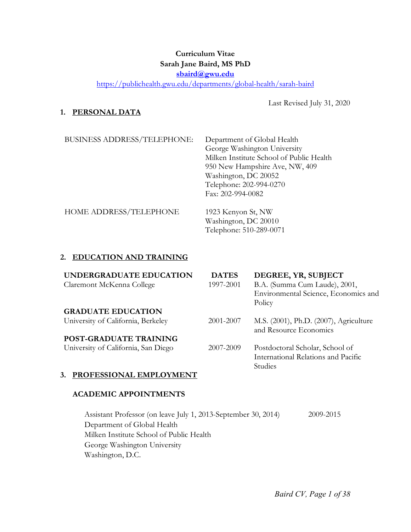## **Curriculum Vitae Sarah Jane Baird, MS PhD sbaird@gwu.edu**

https://publichealth.gwu.edu/departments/global-health/sarah-baird

Last Revised July 31, 2020

## **1. PERSONAL DATA**

| BUSINESS ADDRESS/TELEPHONE: | Department of Global Health<br>George Washington University<br>Milken Institute School of Public Health<br>950 New Hampshire Ave, NW, 409<br>Washington, DC 20052<br>Telephone: 202-994-0270<br>Fax: 202-994-0082 |
|-----------------------------|-------------------------------------------------------------------------------------------------------------------------------------------------------------------------------------------------------------------|
| HOME ADDRESS/TELEPHONE      | 1923 Kenyon St, NW<br>Washington, DC 20010                                                                                                                                                                        |

## **2. EDUCATION AND TRAINING**

| UNDERGRADUATE EDUCATION             | <b>DATES</b> | DEGREE, YR, SUBJECT                    |
|-------------------------------------|--------------|----------------------------------------|
| Claremont McKenna College           | 1997-2001    | B.A. (Summa Cum Laude), 2001,          |
|                                     |              | Environmental Science, Economics and   |
|                                     |              | Policy                                 |
| <b>GRADUATE EDUCATION</b>           |              |                                        |
| University of California, Berkeley  | 2001-2007    | M.S. (2001), Ph.D. (2007), Agriculture |
|                                     |              | and Resource Economics                 |
| <b>POST-GRADUATE TRAINING</b>       |              |                                        |
| University of California, San Diego | 2007-2009    | Postdoctoral Scholar, School of        |
|                                     |              | International Relations and Pacific    |
|                                     |              | Studies                                |

Telephone: 510-289-0071

### **3. PROFESSIONAL EMPLOYMENT**

#### **ACADEMIC APPOINTMENTS**

Assistant Professor (on leave July 1, 2013-September 30, 2014) 2009-2015 Department of Global Health Milken Institute School of Public Health George Washington University Washington, D.C.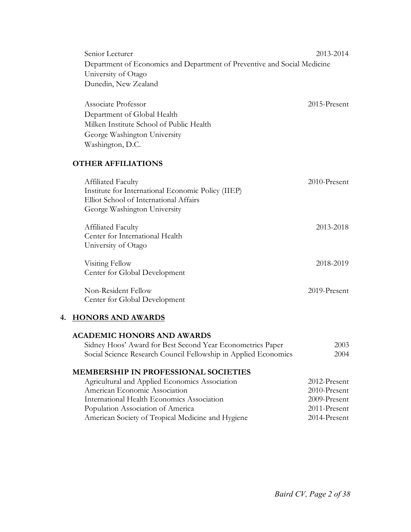Senior Lecturer 2013-2014 Department of Economics and Department of Preventive and Social Medicine University of Otago Dunedin, New Zealand

| Associate Professor                      | $2015$ -Present |
|------------------------------------------|-----------------|
| Department of Global Health              |                 |
| Milken Institute School of Public Health |                 |
| George Washington University             |                 |
| Washington, D.C.                         |                 |

## **OTHER AFFILIATIONS**

| Affiliated Faculty                                                           | 2010-Present |
|------------------------------------------------------------------------------|--------------|
| Institute for International Economic Policy (IIEP)                           |              |
| Elliot School of International Affairs                                       |              |
| George Washington University                                                 |              |
| Affiliated Faculty<br>Center for International Health<br>University of Otago | 2013-2018    |
| Visiting Fellow<br>Center for Global Development                             | 2018-2019    |
| Non-Resident Fellow<br>Center for Global Development                         | 2019-Present |

### **4. HONORS AND AWARDS**

#### **ACADEMIC HONORS AND AWARDS**

| Sidney Hoos' Award for Best Second Year Econometrics Paper      | 2003 |
|-----------------------------------------------------------------|------|
| Social Science Research Council Fellowship in Applied Economics | 2004 |

## **MEMBERSHIP IN PROFESSIONAL SOCIETIES**

| Agricultural and Applied Economics Association    | 2012-Present |
|---------------------------------------------------|--------------|
| American Economic Association                     | 2010-Present |
| International Health Economics Association        | 2009-Present |
| Population Association of America                 | 2011-Present |
| American Society of Tropical Medicine and Hygiene | 2014-Present |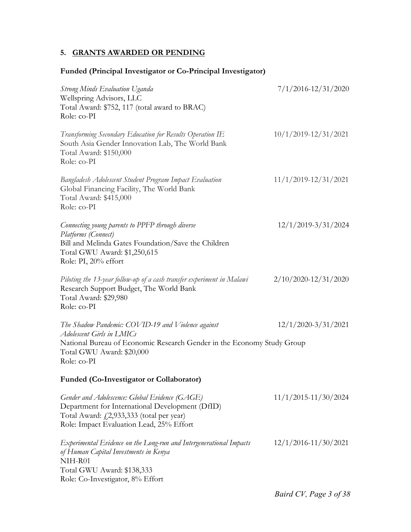## **5. GRANTS AWARDED OR PENDING**

## **Funded (Principal Investigator or Co-Principal Investigator)**

| <b>Strong Minds Evaluation Uganda</b><br>Wellspring Advisors, LLC<br>Total Award: \$752, 117 (total award to BRAC)                                                                            | $7/1/2016 - 12/31/2020$  |
|-----------------------------------------------------------------------------------------------------------------------------------------------------------------------------------------------|--------------------------|
| Role: co-PI                                                                                                                                                                                   |                          |
| Transforming Secondary Education for Results Operation IE<br>South Asia Gender Innovation Lab, The World Bank<br>Total Award: \$150,000<br>Role: co-PI                                        | $10/1/2019 - 12/31/2021$ |
| Bangladesh Adolescent Student Program Impact Evaluation<br>Global Financing Facility, The World Bank<br>Total Award: \$415,000<br>Role: co-PI                                                 | $11/1/2019 - 12/31/2021$ |
| Connecting young parents to PPFP through diverse                                                                                                                                              | $12/1/2019 - 3/31/2024$  |
| Platforms (Connect)<br>Bill and Melinda Gates Foundation/Save the Children<br>Total GWU Award: \$1,250,615<br>Role: PI, 20% effort                                                            |                          |
| Piloting the 13-year follow-up of a cash transfer experiment in Malawi<br>Research Support Budget, The World Bank<br>Total Award: \$29,980<br>Role: co-PI                                     | $2/10/2020 - 12/31/2020$ |
| The Shadow Pandemic: COVID-19 and Violence against                                                                                                                                            | $12/1/2020 - 3/31/2021$  |
| Adolescent Girls in LMICs<br>National Bureau of Economic Research Gender in the Economy Study Group<br>Total GWU Award: \$20,000<br>Role: co-PI                                               |                          |
| Funded (Co-Investigator or Collaborator)                                                                                                                                                      |                          |
| Gender and Adolescence: Global Evidence (GAGE)<br>Department for International Development (DfID)<br>Total Award: $f(2,933,333)$ (total per year)<br>Role: Impact Evaluation Lead, 25% Effort | $11/1/2015 - 11/30/2024$ |
| Experimental Evidence on the Long-run and Intergenerational Impacts<br>of Human Capital Investments in Kenya<br>NIH-R01                                                                       | $12/1/2016 - 11/30/2021$ |
| Total GWU Award: \$138,333<br>Role: Co-Investigator, 8% Effort                                                                                                                                |                          |
|                                                                                                                                                                                               | Baird CV, Page 3 of 38   |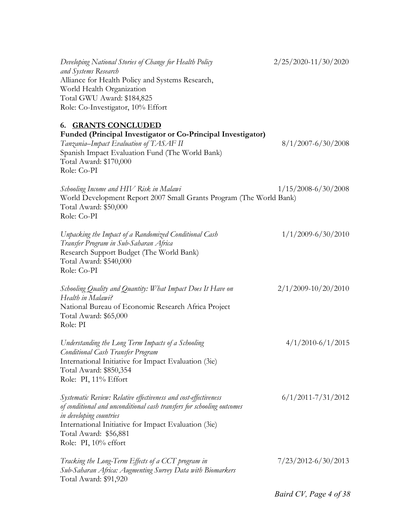| Developing National Stories of Change for Health Policy<br>and Systems Research<br>Alliance for Health Policy and Systems Research,<br>World Health Organization<br>Total GWU Award: \$184,825<br>Role: Co-Investigator, 10% Effort                                            | 2/25/2020-11/30/2020    |
|--------------------------------------------------------------------------------------------------------------------------------------------------------------------------------------------------------------------------------------------------------------------------------|-------------------------|
| 6. GRANTS CONCLUDED<br>Funded (Principal Investigator or Co-Principal Investigator)<br>Tanzania-Impact Evaluation of TASAF II<br>Spanish Impact Evaluation Fund (The World Bank)<br>Total Award: \$170,000<br>Role: Co-PI                                                      | $8/1/2007 - 6/30/2008$  |
| Schooling Income and HIV Risk in Malawi<br>World Development Report 2007 Small Grants Program (The World Bank)<br>Total Award: \$50,000<br>Role: Co-PI                                                                                                                         | $1/15/2008 - 6/30/2008$ |
| Unpacking the Impact of a Randomized Conditional Cash<br>Transfer Program in Sub-Saharan Africa<br>Research Support Budget (The World Bank)<br>Total Award: \$540,000<br>Role: Co-PI                                                                                           | $1/1/2009 - 6/30/2010$  |
| Schooling Quality and Quantity: What Impact Does It Have on<br>Health in Malawi?<br>National Bureau of Economic Research Africa Project<br>Total Award: \$65,000<br>Role: PI                                                                                                   | $2/1/2009 - 10/20/2010$ |
| Understanding the Long Term Impacts of a Schooling<br><b>Conditional Cash Transfer Program</b><br>International Initiative for Impact Evaluation (3ie)<br>Total Award: \$850,354<br>Role: PI, 11% Effort                                                                       | $4/1/2010 - 6/1/2015$   |
| Systematic Review: Relative effectiveness and cost-effectiveness<br>of conditional and unconditional cash transfers for schooling outcomes<br>in developing countries<br>International Initiative for Impact Evaluation (3ie)<br>Total Award: \$56,881<br>Role: PI, 10% effort | $6/1/2011 - 7/31/2012$  |
| Tracking the Long-Term Effects of a CCT program in<br>Sub-Saharan Africa: Augmenting Survey Data with Biomarkers<br>Total Award: \$91,920                                                                                                                                      | $7/23/2012 - 6/30/2013$ |
|                                                                                                                                                                                                                                                                                | Baird CV, Page 4 of 38  |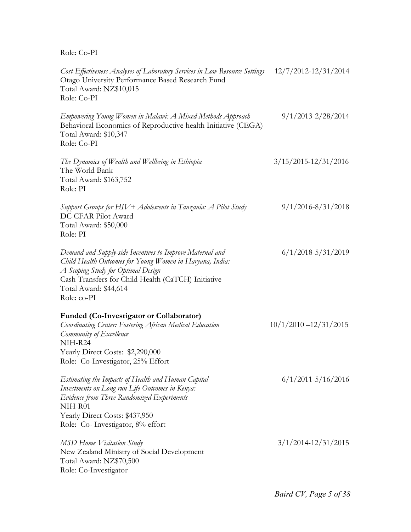Role: Co-PI

| Cost Effectiveness Analyses of Laboratory Services in Low Resource Settings<br>Otago University Performance Based Research Fund<br>Total Award: NZ\$10,015<br>Role: Co-PI                                                                                 | $12/7/2012 - 12/31/2014$ |
|-----------------------------------------------------------------------------------------------------------------------------------------------------------------------------------------------------------------------------------------------------------|--------------------------|
| Empowering Young Women in Malawi: A Mixed Methods Approach<br>Behavioral Economics of Reproductive health Initiative (CEGA)<br>Total Award: \$10,347<br>Role: Co-PI                                                                                       | $9/1/2013 - 2/28/2014$   |
| The Dynamics of Wealth and Wellbeing in Ethiopia<br>The World Bank<br>Total Award: \$163,752<br>Role: PI                                                                                                                                                  | $3/15/2015 - 12/31/2016$ |
| Support Groups for HIV + Adolescents in Tanzania: A Pilot Study<br>DC CFAR Pilot Award<br>Total Award: \$50,000<br>Role: PI                                                                                                                               | $9/1/2016 - 8/31/2018$   |
| Demand and Supply-side Incentives to Improve Maternal and<br>Child Health Outcomes for Young Women in Haryana, India:<br>A Scoping Study for Optimal Design<br>Cash Transfers for Child Health (CaTCH) Initiative<br>Total Award: \$44,614<br>Role: co-PI | $6/1/2018 - 5/31/2019$   |
| Funded (Co-Investigator or Collaborator)<br>Coordinating Center: Fostering African Medical Education<br>Community of Excellence<br>NIH-R24<br>Yearly Direct Costs: \$2,290,000<br>Role: Co-Investigator, 25% Effort                                       | $10/1/2010 - 12/31/2015$ |
| Estimating the Impacts of Health and Human Capital<br>Investments on Long-run Life Outcomes in Kenya:<br>Evidence from Three Randomized Experiments<br>NIH-R01<br>Yearly Direct Costs: \$437,950<br>Role: Co- Investigator, 8% effort                     | $6/1/2011 - 5/16/2016$   |
| MSD Home Visitation Study<br>New Zealand Ministry of Social Development<br>Total Award: NZ\$70,500<br>Role: Co-Investigator                                                                                                                               | $3/1/2014 - 12/31/2015$  |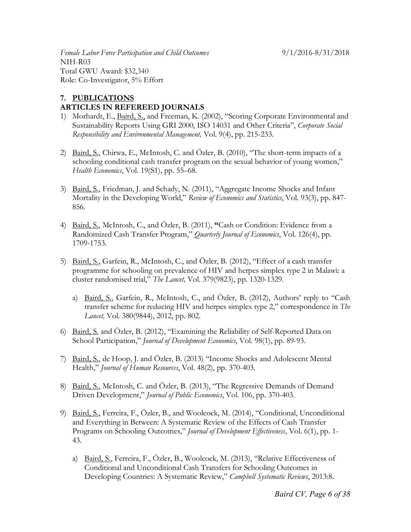*Female Labor Force Participation and Child Outcomes* 9/1/2016-8/31/2018 NIH-R03 Total GWU Award: \$32,340 Role: Co-Investigator, 5% Effort

## **7. PUBLICATIONS ARTICLES IN REFEREED JOURNALS**

- 1) Morhardt, E., Baird, S., and Freeman, K. (2002), "Scoring Corporate Environmental and Sustainability Reports Using GRI 2000, ISO 14031 and Other Criteria", *Corporate Social Responsibility and Environmental Management,* Vol. 9(4), pp. 215-233.
- 2) Baird, S., Chirwa, E., McIntosh, C. and Özler, B. (2010), "The short-term impacts of a schooling conditional cash transfer program on the sexual behavior of young women," *Health Economics*, Vol. 19(S1), pp. 55–68.
- 3) Baird, S., Friedman, J. and Schady, N. (2011), "Aggregate Income Shocks and Infant Mortality in the Developing World," *Review of Economics and Statistics*, Vol. 93(3), pp. 847- 856.
- 4) Baird, S., McIntosh, C., and Özler, B. (2011), **"**Cash or Condition: Evidence from a Randomized Cash Transfer Program," *Quarterly Journal of Economics*, Vol. 126(4), pp. 1709-1753.
- 5) Baird, S., Garfein, R., McIntosh, C., and Özler, B. (2012), "Effect of a cash transfer programme for schooling on prevalence of HIV and herpes simplex type 2 in Malawi: a cluster randomised trial," *The Lancet,* Vol. 379(9823), pp. 1320-1329.
	- a) Baird, S., Garfein, R., McIntosh, C., and Özler, B. (2012), Authors' reply to "Cash transfer scheme for reducing HIV and herpes simplex type 2," correspondence in *The Lancet,* Vol. 380(9844), 2012, pp. 802.
- 6) Baird, S. and Özler, B. (2012), "Examining the Reliability of Self-Reported Data on School Participation," *Journal of Development Economics*, Vol. 98(1), pp. 89-93.
- 7) Baird, S., de Hoop, J. and Özler, B. (2013) "Income Shocks and Adolescent Mental Health," *Journal of Human Resources*, Vol. 48(2), pp. 370-403.
- 8) Baird, S., McIntosh, C. and Özler, B. (2013), "The Regressive Demands of Demand Driven Development," *Journal of Public Economics*, Vol. 106, pp. 370-403.
- 9) Baird, S., Ferreira, F., Özler, B., and Woolcock, M. (2014), "Conditional, Unconditional and Everything in Between: A Systematic Review of the Effects of Cash Transfer Programs on Schooling Outcomes," *Journal of Development Effectiveness*, Vol. 6(1), pp. 1- 43.
	- a) Baird, S., Ferreira, F., Özler, B., Woolcock, M. (2013), "Relative Effectiveness of Conditional and Unconditional Cash Transfers for Schooling Outcomes in Developing Countries: A Systematic Review," *Campbell Systematic Reviews*, 2013:8.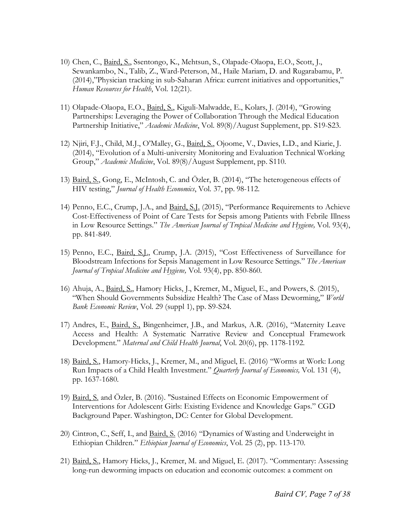- 10) Chen, C., Baird, S., Ssentongo, K., Mehtsun, S., Olapade-Olaopa, E.O., Scott, J., Sewankambo, N., Talib, Z., Ward-Peterson, M., Haile Mariam, D. and Rugarabamu, P. (2014),"Physician tracking in sub-Saharan Africa: current initiatives and opportunities," *Human Resources for Health*, Vol. 12(21).
- 11) Olapade-Olaopa, E.O., Baird, S., Kiguli-Malwadde, E., Kolars, J. (2014), "Growing Partnerships: Leveraging the Power of Collaboration Through the Medical Education Partnership Initiative," *Academic Medicine*, Vol. 89(8)/August Supplement, pp. S19-S23.
- 12) Njiri, F.J., Child, M.J., O'Malley, G., Baird, S., Ojoome, V., Davies, L.D., and Kiarie, J. (2014), "Evolution of a Multi-university Monitoring and Evaluation Technical Working Group," *Academic Medicine*, Vol. 89(8)/August Supplement, pp. S110.
- 13) Baird, S., Gong, E., McIntosh, C. and Özler, B. (2014), "The heterogeneous effects of HIV testing," *Journal of Health Economics*, Vol. 37, pp. 98-112.
- 14) Penno, E.C., Crump, J.A., and Baird, S.J. (2015), "Performance Requirements to Achieve Cost-Effectiveness of Point of Care Tests for Sepsis among Patients with Febrile Illness in Low Resource Settings." *The American Journal of Tropical Medicine and Hygiene,* Vol. 93(4), pp. 841-849.
- 15) Penno, E.C., Baird, S.J., Crump, J.A. (2015), "Cost Effectiveness of Surveillance for Bloodstream Infections for Sepsis Management in Low Resource Settings." *The American Journal of Tropical Medicine and Hygiene,* Vol. 93(4), pp. 850-860.
- 16) Ahuja, A., Baird, S., Hamory Hicks, J., Kremer, M., Miguel, E., and Powers, S. (2015), "When Should Governments Subsidize Health? The Case of Mass Deworming," *World Bank Economic Review*, Vol. 29 (suppl 1), pp. S9-S24.
- 17) Andres, E., Baird, S., Bingenheimer, J.B., and Markus, A.R. (2016), "Maternity Leave Access and Health: A Systematic Narrative Review and Conceptual Framework Development." *Maternal and Child Health Journal*, Vol. 20(6), pp. 1178-1192.
- 18) Baird, S., Hamory-Hicks, J., Kremer, M., and Miguel, E. (2016) "Worms at Work: Long Run Impacts of a Child Health Investment." *Quarterly Journal of Economics,* Vol. 131 (4), pp. 1637-1680.
- 19) Baird, S. and Özler, B. (2016). "Sustained Effects on Economic Empowerment of Interventions for Adolescent Girls: Existing Evidence and Knowledge Gaps." CGD Background Paper. Washington, DC: Center for Global Development.
- 20) Cintron, C., Seff, I., and Baird, S. (2016) "Dynamics of Wasting and Underweight in Ethiopian Children." *Ethiopian Journal of Economics*, Vol. 25 (2), pp. 113-170.
- 21) Baird, S., Hamory Hicks, J., Kremer, M. and Miguel, E. (2017). "Commentary: Assessing long-run deworming impacts on education and economic outcomes: a comment on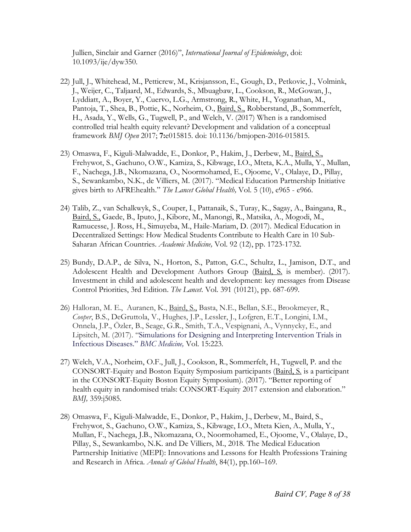Jullien, Sinclair and Garner (2016)", *International Journal of Epidemiology*, doi: 10.1093/ije/dyw350.

- 22) Jull, J., Whitehead, M., Petticrew, M., Krisjansson, E., Gough, D., Petkovic, J., Volmink, J., Weijer, C., Taljaard, M., Edwards, S., Mbuagbaw, L., Cookson, R., McGowan, J., Lyddiatt, A., Boyer, Y., Cuervo, L.G., Armstrong, R., White, H., Yoganathan, M., Pantoja, T., Shea, B., Pottie, K., Norheim, O., Baird, S., Robberstand, ,B., Sommerfelt, H., Asada, Y., Wells, G., Tugwell, P., and Welch, V. (2017) When is a randomised controlled trial health equity relevant? Development and validation of a conceptual framework *BMJ Open* 2017; **7:**e015815. doi: 10.1136/bmjopen-2016-015815.
- 23) Omaswa, F., Kiguli-Malwadde, E., Donkor, P., Hakim, J., Derbew, M., Baird, S., Frehywot, S., Gachuno, O.W., Kamiza, S., Kibwage, I.O., Mteta, K.A., Mulla, Y., Mullan, F., Nachega, J.B., Nkomazana, O., Noormohamed, E., Ojoome, V., Olalaye, D., Pillay, S., Sewankambo, N.K., de Villiers, M. (2017). "Medical Education Partnership Initiative gives birth to AFREhealth." *The Lancet Global Health,* Vol. 5 (10), e965 - e966.
- 24) Talib, Z., van Schalkwyk, S., Couper, I., Pattanaik, S., Turay, K., Sagay, A., Baingana, R., Baird, S., Gaede, B., Iputo, J., Kibore, M., Manongi, R., Matsika, A., Mogodi, M., Ramucesse, J. Ross, H., Simuyeba, M., Haile-Mariam, D. (2017). Medical Education in Decentralized Settings: How Medical Students Contribute to Health Care in 10 Sub-Saharan African Countries. *Academic Medicine,* Vol. 92 (12), pp. 1723-1732.
- 25) Bundy, D.A.P., de Silva, N., Horton, S., Patton, G.C., Schultz, L., Jamison, D.T., and Adolescent Health and Development Authors Group (Baird, S. is member). (2017). Investment in child and adolescent health and development: key messages from Disease Control Priorities, 3rd Edition. *The Lancet*. Vol. 391 (10121), pp. 687-699.
- 26) Halloran, M. E., Auranen, K., Baird, S., Basta, N.E., Bellan, S.E., Brookmeyer, R., *Cooper*, B.S., DeGruttola, V., Hughes, J.P., Lessler, J., Lofgren, E.T., Longini, I.M., Onnela, J.P., Özler, B., Seage, G.R., Smith, T.A., Vespignani, A., Vynnycky, E., and Lipsitch, M. (2017). "Simulations for Designing and Interpreting Intervention Trials in Infectious Diseases." *BMC Medicine,* Vol. 15:223.
- 27) Welch, V.A., Norheim, O.F., Jull, J., Cookson, R., Sommerfelt, H., Tugwell, P. and the CONSORT-Equity and Boston Equity Symposium participants (Baird, S. is a participant in the CONSORT-Equity Boston Equity Symposium). (2017). "Better reporting of health equity in randomised trials: CONSORT-Equity 2017 extension and elaboration." *BMJ,* 359:j5085.
- 28) Omaswa, F., Kiguli-Malwadde, E., Donkor, P., Hakim, J., Derbew, M., Baird, S., Frehywot, S., Gachuno, O.W., Kamiza, S., Kibwage, I.O., Mteta Kien, A., Mulla, Y., Mullan, F., Nachega, J.B., Nkomazana, O., Noormohamed, E., Ojoome, V., Olalaye, D., Pillay, S., Sewankambo, N.K. and De Villiers, M., 2018. The Medical Education Partnership Initiative (MEPI): Innovations and Lessons for Health Professions Training and Research in Africa. *Annals of Global Health*, 84(1), pp.160–169.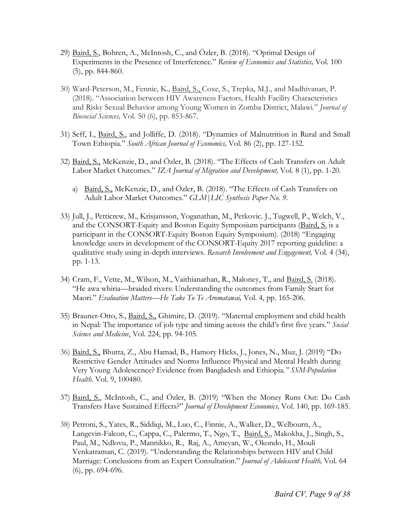- 29) Baird, S., Bohren, A., McIntosh, C., and Özler, B. (2018). "Optimal Design of Experiments in the Presence of Interference." *Review of Economics and Statistics,* Vol. 100 (5), pp. 844-860.
- 30) Ward-Peterson, M., Fennie, K., Baird, S., Coxe, S., Trepka, M.J., and Madhivanan, P. (2018). "Association between HIV Awareness Factors, Health Facility Characteristics and Risky Sexual Behavior among Young Women in Zomba District, Malawi." *Journal of Biosocial Sciences,* Vol. 50 (6), pp. 853-867.
- 31) Seff, I., Baird, S., and Jolliffe, D. (2018). "Dynamics of Malnutrition in Rural and Small Town Ethiopia." *South African Journal of Economics,* Vol. 86 (2), pp. 127-152.
- 32) Baird, S., McKenzie, D., and Özler, B. (2018). "The Effects of Cash Transfers on Adult Labor Market Outcomes." *IZA Journal of Migration and Development,* Vol. 8 (1), pp. 1-20.
	- a) Baird, S., McKenzie, D., and Özler, B. (2018). "The Effects of Cash Transfers on Adult Labor Market Outcomes." *GLM|LIC Synthesis Paper No. 9.*
- 33) Jull, J., Petticrew, M., Krisjansson, Yoganathan, M., Petkovic. J., Tugwell, P., Welch, V., and the CONSORT-Equity and Boston Equity Symposium participants (Baird, S. is a participant in the CONSORT-Equity Boston Equity Symposium). (2018) "Engaging knowledge users in development of the CONSORT-Equity 2017 reporting guideline: a qualitative study using in-depth interviews. *Research Involvement and Engagement,* Vol. 4 (34), pp. 1-13.
- 34) Cram, F., Vette, M., Wilson, M., Vaithianathan, R., Maloney, T., and Baird, S. (2018). "He awa whiria—braided rivers: Understanding the outcomes from Family Start for Maori." *Evaluation Matters—He Take To Te Aromatawai,* Vol. 4, pp. 165-206.
- 35) Brauner-Otto, S., Baird, S., Ghimire, D. (2019). "Maternal employment and child health in Nepal: The importance of job type and timing across the child's first five years." *Social Science and Medicine*, Vol. 224, pp. 94-105.
- 36) Baird, S., Bhutta, Z., Abu Hamad, B., Hamory Hicks, J., Jones, N., Muz, J. (2019) "Do Restrictive Gender Attitudes and Norms Influence Physical and Mental Health during Very Young Adolescence? Evidence from Bangladesh and Ethiopia*." SSM-Population Health.* Vol. 9, 100480.
- 37) Baird, S., McIntosh, C., and Özler, B. (2019) "When the Money Runs Out: Do Cash Transfers Have Sustained Effects?" *Journal of Development Economics,* Vol. 140, pp. 169-185.
- 38) Petroni, S., Yates, R., Siddiqi, M., Luo, C., Finnie, A., Walker, D., Welbourn, A., Langevin-Falcon, C., Cappa, C., Palermo, T., Ngo, T., Baird, S., Makokha, J., Singh, S., Paul, M., Ndlovu, P., Mannikko, R., Raj, A., Ameyan, W., Okondo, H., Mouli Venkatraman, C. (2019). "Understanding the Relationships between HIV and Child Marriage: Conclusions from an Expert Consultation." *Journal of Adolescent Health,* Vol. 64 (6), pp. 694-696.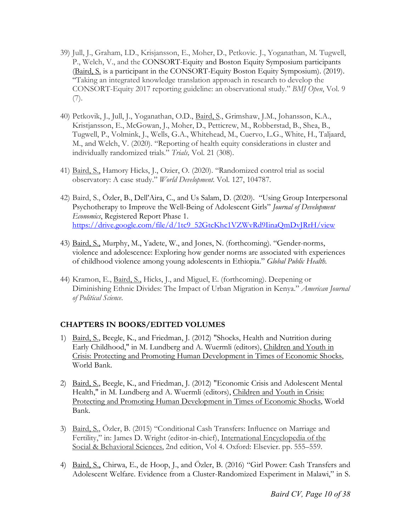- 39) Jull, J., Graham, I.D., Krisjansson, E., Moher, D., Petkovic. J., Yoganathan, M. Tugwell, P., Welch, V., and the CONSORT-Equity and Boston Equity Symposium participants (Baird, S. is a participant in the CONSORT-Equity Boston Equity Symposium). (2019). "Taking an integrated knowledge translation approach in research to develop the CONSORT-Equity 2017 reporting guideline: an observational study." *BMJ Open*, Vol. 9 (7).
- 40) Petkovik, J., Jull, J., Yoganathan, O.D., Baird, S., Grimshaw, J.M., Johansson, K.A., Kristjansson, E., McGowan, J., Moher, D., Petticrew, M., Robberstad, B., Shea, B., Tugwell, P., Volmink, J., Wells, G.A., Whitehead, M., Cuervo, L.G., White, H., Taljaard, M., and Welch, V. (2020). "Reporting of health equity considerations in cluster and individually randomized trials." *Trials,* Vol. 21 (308).
- 41) Baird, S., Hamory Hicks, J., Ozier, O. (2020). "Randomized control trial as social observatory: A case study." *World Development.* Vol. 127, 104787.
- 42) Baird, S., Özler, B., Dell'Aira, C., and Us Salam, D. (2020). "Using Group Interpersonal Psychotherapy to Improve the Well-Being of Adolescent Girls" *Journal of Development Economics*, Registered Report Phase 1. https://drive.google.com/file/d/1tc9\_52GtcKhc1VZWvRd9IinaQmDvJRrH/view
- 43) Baird, S., Murphy, M., Yadete, W., and Jones, N. (forthcoming). "Gender-norms, violence and adolescence: Exploring how gender norms are associated with experiences of childhood violence among young adolescents in Ethiopia." *Global Public Health.*
- 44) Kramon, E., Baird, S., Hicks, J., and Miguel, E. (forthcoming). Deepening or Diminishing Ethnic Divides: The Impact of Urban Migration in Kenya." *American Journal of Political Science.*

## **CHAPTERS IN BOOKS/EDITED VOLUMES**

- 1) Baird, S., Beegle, K., and Friedman, J. (2012) "Shocks, Health and Nutrition during Early Childhood," in M. Lundberg and A. Wuermli (editors), Children and Youth in Crisis: Protecting and Promoting Human Development in Times of Economic Shocks, World Bank.
- 2) Baird, S., Beegle, K., and Friedman, J. (2012) "Economic Crisis and Adolescent Mental Health," in M. Lundberg and A. Wuermli (editors), Children and Youth in Crisis: Protecting and Promoting Human Development in Times of Economic Shocks, World Bank.
- 3) Baird, S., Özler, B. (2015) "Conditional Cash Transfers: Influence on Marriage and Fertility," in: James D. Wright (editor-in-chief), International Encyclopedia of the Social & Behavioral Sciences, 2nd edition, Vol 4. Oxford: Elsevier. pp. 555–559.
- 4) Baird, S., Chirwa, E., de Hoop, J., and Özler, B. (2016) "Girl Power: Cash Transfers and Adolescent Welfare. Evidence from a Cluster-Randomized Experiment in Malawi," in S.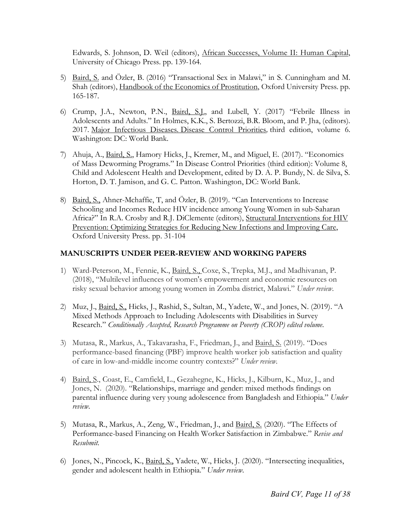Edwards, S. Johnson, D. Weil (editors), African Successes, Volume II: Human Capital, University of Chicago Press. pp. 139-164.

- 5) Baird, S. and Özler, B. (2016) "Transactional Sex in Malawi," in S. Cunningham and M. Shah (editors), Handbook of the Economics of Prostitution, Oxford University Press. pp. 165-187.
- 6) Crump, J.A., Newton, P.N., Baird, S.J., and Lubell, Y. (2017) "Febrile Illness in Adolescents and Adults." In Holmes, K.K., S. Bertozzi, B.R. Bloom, and P. Jha, (editors). 2017. Major Infectious Diseases*.* Disease Control Priorities*,* third edition, volume 6. Washington: DC: World Bank.
- 7) Ahuja, A., Baird, S., Hamory Hicks, J., Kremer, M., and Miguel, E. (2017). "Economics of Mass Deworming Programs." In Disease Control Priorities (third edition): Volume 8, Child and Adolescent Health and Development, edited by D. A. P. Bundy, N. de Silva, S. Horton, D. T. Jamison, and G. C. Patton. Washington, DC: World Bank.
- 8) Baird, S., Ahner-Mchaffie, T, and Özler, B. (2019). "Can Interventions to Increase Schooling and Incomes Reduce HIV incidence among Young Women in sub-Saharan Africa?" In R.A. Crosby and R.J. DiClemente (editors), Structural Interventions for HIV Prevention: Optimizing Strategies for Reducing New Infections and Improving Care, Oxford University Press. pp. 31-104

## **MANUSCRIPTS UNDER PEER-REVIEW AND WORKING PAPERS**

- 1) Ward-Peterson, M., Fennie, K., Baird, S., Coxe, S., Trepka, M.J., and Madhivanan, P. (2018), "Multilevel influences of women's empowerment and economic resources on risky sexual behavior among young women in Zomba district, Malawi." *Under review.*
- 2) Muz, J., Baird, S., Hicks, J., Rashid, S., Sultan, M., Yadete, W., and Jones, N. (2019). "A Mixed Methods Approach to Including Adolescents with Disabilities in Survey Research." *Conditionally Accepted, Research Programme on Poverty (CROP) edited volume.*
- 3) Mutasa, R., Markus, A., Takavarasha, F., Friedman, J., and Baird, S. (2019). "Does performance-based financing (PBF) improve health worker job satisfaction and quality of care in low-and-middle income country contexts?" *Under review.*
- 4) Baird, S., Coast, E., Camfield, L., Gezahegne, K., Hicks, J., Kilburn, K., Muz, J., and Jones, N. (2020). "Relationships, marriage and gender: mixed methods findings on parental influence during very young adolescence from Bangladesh and Ethiopia." *Under review.*
- 5) Mutasa, R., Markus, A., Zeng, W., Friedman, J., and Baird, S. (2020). "The Effects of Performance-based Financing on Health Worker Satisfaction in Zimbabwe." *Revise and Resubmit.*
- 6) Jones, N., Pincock, K., Baird, S., Yadete, W., Hicks, J. (2020). "Intersecting inequalities, gender and adolescent health in Ethiopia." *Under review.*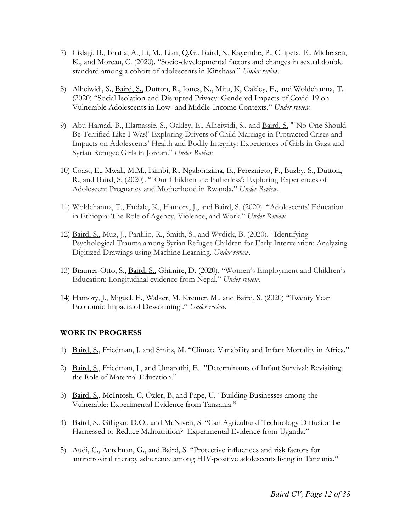- 7) Cislagi, B., Bhatia, A., Li, M., Lian, Q.G., Baird, S., Kayembe, P., Chipeta, E., Michelsen, K., and Moreau, C. (2020). "Socio-developmental factors and changes in sexual double standard among a cohort of adolescents in Kinshasa." *Under review.*
- 8) Alheiwidi, S., Baird, S., Dutton, R., Jones, N., Mitu, K, Oakley, E., and Woldehanna, T. (2020) "Social Isolation and Disrupted Privacy: Gendered Impacts of Covid-19 on Vulnerable Adolescents in Low- and Middle-Income Contexts." *Under review.*
- 9) Abu Hamad, B., Elamassie, S., Oakley, E., Alheiwidi, S., and Baird, S. "`No One Should Be Terrified Like I Was!' Exploring Drivers of Child Marriage in Protracted Crises and Impacts on Adolescents' Health and Bodily Integrity: Experiences of Girls in Gaza and Syrian Refugee Girls in Jordan." *Under Review.*
- 10) Coast, E., Mwali, M.M., Isimbi, R., Ngabonzima, E., Pereznieto, P., Buzby, S., Dutton, R., and Baird, S. (2020). "`Our Children are Fatherless': Exploring Experiences of Adolescent Pregnancy and Motherhood in Rwanda." *Under Review.*
- 11) Woldehanna, T., Endale, K., Hamory, J., and Baird, S. (2020). "Adolescents' Education in Ethiopia: The Role of Agency, Violence, and Work." *Under Review.*
- 12) Baird, S., Muz, J., Panlilio, R., Smith, S., and Wydick, B. (2020). "Identifying Psychological Trauma among Syrian Refugee Children for Early Intervention: Analyzing Digitized Drawings using Machine Learning. *Under review.*
- 13) Brauner-Otto, S., Baird, S., Ghimire, D. (2020). "Women's Employment and Children's Education: Longitudinal evidence from Nepal." *Under review.*
- 14) Hamory, J., Miguel, E., Walker, M, Kremer, M., and Baird, S. (2020) "Twenty Year Economic Impacts of Deworming ." *Under review.*

## **WORK IN PROGRESS**

- 1) Baird, S., Friedman, J. and Smitz, M. "Climate Variability and Infant Mortality in Africa."
- 2) Baird, S., Friedman, J., and Umapathi, E. "Determinants of Infant Survival: Revisiting the Role of Maternal Education."
- 3) Baird, S., McIntosh, C, Özler, B, and Pape, U. "Building Businesses among the Vulnerable: Experimental Evidence from Tanzania."
- 4) Baird, S., Gilligan, D.O., and McNiven, S. "Can Agricultural Technology Diffusion be Harnessed to Reduce Malnutrition? Experimental Evidence from Uganda."
- 5) Audi, C., Antelman, G., and Baird, S. "Protective influences and risk factors for antiretroviral therapy adherence among HIV-positive adolescents living in Tanzania."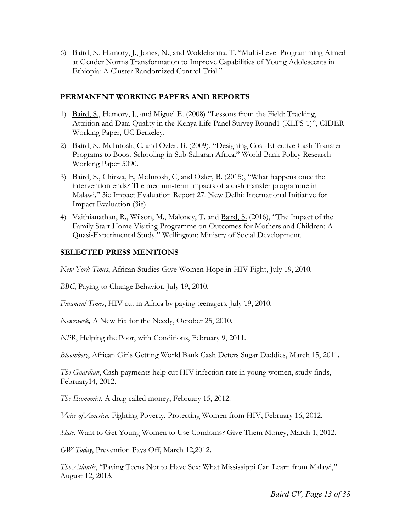6) Baird, S., Hamory, J., Jones, N., and Woldehanna, T. "Multi-Level Programming Aimed at Gender Norms Transformation to Improve Capabilities of Young Adolescents in Ethiopia: A Cluster Randomized Control Trial."

### **PERMANENT WORKING PAPERS AND REPORTS**

- 1) Baird, S., Hamory, J., and Miguel E. (2008) "Lessons from the Field: Tracking, Attrition and Data Quality in the Kenya Life Panel Survey Round1 (KLPS-1)", CIDER Working Paper, UC Berkeley.
- 2) Baird, S., McIntosh, C. and Özler, B. (2009), "Designing Cost-Effective Cash Transfer Programs to Boost Schooling in Sub-Saharan Africa." World Bank Policy Research Working Paper 5090.
- 3) Baird, S., Chirwa, E, McIntosh, C, and Özler, B. (2015), "What happens once the intervention ends? The medium-term impacts of a cash transfer programme in Malawi." 3ie Impact Evaluation Report 27. New Delhi: International Initiative for Impact Evaluation (3ie).
- 4) Vaithianathan, R., Wilson, M., Maloney, T. and Baird, S. (2016), "The Impact of the Family Start Home Visiting Programme on Outcomes for Mothers and Children: A Quasi-Experimental Study." Wellington: Ministry of Social Development.

## **SELECTED PRESS MENTIONS**

*New York Times*, African Studies Give Women Hope in HIV Fight, July 19, 2010.

*BBC*, Paying to Change Behavior, July 19, 2010.

*Financial Times*, HIV cut in Africa by paying teenagers, July 19, 2010.

*Newsweek,* A New Fix for the Needy, October 25, 2010.

*NPR*, Helping the Poor, with Conditions, February 9, 2011.

*Bloomberg*, African Girls Getting World Bank Cash Deters Sugar Daddies, March 15, 2011.

*The Guardian*, Cash payments help cut HIV infection rate in young women, study finds, February14, 2012.

*The Economist*, A drug called money, February 15, 2012.

*Voice of America*, Fighting Poverty, Protecting Women from HIV, February 16, 2012.

*Slate*, Want to Get Young Women to Use Condoms? Give Them Money, March 1, 2012.

*GW Today*, Prevention Pays Off, March 12,2012.

*The Atlantic*, "Paying Teens Not to Have Sex: What Mississippi Can Learn from Malawi," August 12, 2013.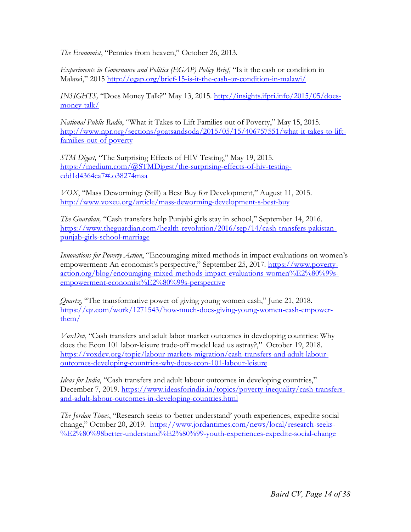*The Economist*, "Pennies from heaven," October 26, 2013.

*Experiments in Governance and Politics (EGAP) Policy Brief*, "Is it the cash or condition in Malawi," 2015 http://egap.org/brief-15-is-it-the-cash-or-condition-in-malawi/

*INSIGHTS,* "Does Money Talk?" May 13, 2015. http://insights.ifpri.info/2015/05/doesmoney-talk/

*National Public Radio*, "What it Takes to Lift Families out of Poverty," May 15, 2015. http://www.npr.org/sections/goatsandsoda/2015/05/15/406757551/what-it-takes-to-liftfamilies-out-of-poverty

*STM Digest,* "The Surprising Effects of HIV Testing," May 19, 2015. https://medium.com/@STMDigest/the-surprising-effects-of-hiv-testingedd1d4364ea7#.o38274msa

*VOX*, "Mass Deworming: (Still) a Best Buy for Development," August 11, 2015. http://www.voxeu.org/article/mass-deworming-development-s-best-buy

*The Guardian,* "Cash transfers help Punjabi girls stay in school," September 14, 2016. https://www.theguardian.com/health-revolution/2016/sep/14/cash-transfers-pakistanpunjab-girls-school-marriage

*Innovations for Poverty Action*, "Encouraging mixed methods in impact evaluations on women's empowerment: An economist's perspective," September 25, 2017. https://www.povertyaction.org/blog/encouraging-mixed-methods-impact-evaluations-women%E2%80%99sempowerment-economist%E2%80%99s-perspective

*Quartz*, "The transformative power of giving young women cash," June 21, 2018. https://qz.com/work/1271543/how-much-does-giving-young-women-cash-empowerthem/

*VoxDev*, "Cash transfers and adult labor market outcomes in developing countries: Why does the Econ 101 labor-leisure trade-off model lead us astray?," October 19, 2018. https://voxdev.org/topic/labour-markets-migration/cash-transfers-and-adult-labouroutcomes-developing-countries-why-does-econ-101-labour-leisure

*Ideas for India*, "Cash transfers and adult labour outcomes in developing countries," December 7, 2019. https://www.ideasforindia.in/topics/poverty-inequality/cash-transfersand-adult-labour-outcomes-in-developing-countries.html

*The Jordan Times*, "Research seeks to 'better understand' youth experiences, expedite social change," October 20, 2019. https://www.jordantimes.com/news/local/research-seeks-%E2%80%98better-understand%E2%80%99-youth-experiences-expedite-social-change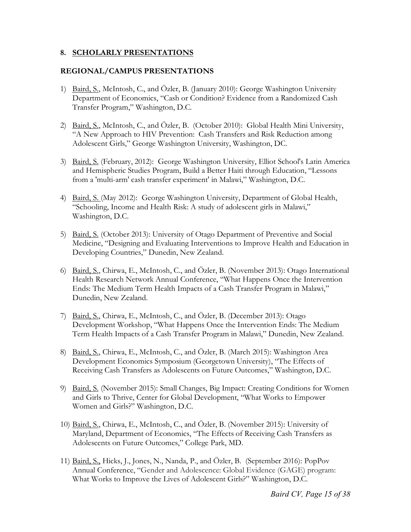#### **8. SCHOLARLY PRESENTATIONS**

#### **REGIONAL/CAMPUS PRESENTATIONS**

- 1) Baird, S., McIntosh, C., and Özler, B. (January 2010): George Washington University Department of Economics, "Cash or Condition? Evidence from a Randomized Cash Transfer Program," Washington, D.C.
- 2) Baird, S., McIntosh, C., and Özler, B. (October 2010): Global Health Mini University, "A New Approach to HIV Prevention: Cash Transfers and Risk Reduction among Adolescent Girls," George Washington University, Washington, DC.
- 3) Baird, S. (February, 2012): George Washington University, Elliot School's Latin America and Hemispheric Studies Program, Build a Better Haiti through Education, "Lessons from a 'multi-arm' cash transfer experiment' in Malawi," Washington, D.C.
- 4) Baird, S. (May 2012): George Washington University, Department of Global Health, "Schooling, Income and Health Risk: A study of adolescent girls in Malawi," Washington, D.C.
- 5) Baird, S. (October 2013): University of Otago Department of Preventive and Social Medicine, "Designing and Evaluating Interventions to Improve Health and Education in Developing Countries," Dunedin, New Zealand.
- 6) Baird, S., Chirwa, E., McIntosh, C., and Özler, B. (November 2013): Otago International Health Research Network Annual Conference, "What Happens Once the Intervention Ends: The Medium Term Health Impacts of a Cash Transfer Program in Malawi," Dunedin, New Zealand.
- 7) Baird, S., Chirwa, E., McIntosh, C., and Özler, B. (December 2013): Otago Development Workshop, "What Happens Once the Intervention Ends: The Medium Term Health Impacts of a Cash Transfer Program in Malawi," Dunedin, New Zealand.
- 8) Baird, S., Chirwa, E., McIntosh, C., and Özler, B. (March 2015): Washington Area Development Economics Symposium (Georgetown University), "The Effects of Receiving Cash Transfers as Adolescents on Future Outcomes," Washington, D.C.
- 9) Baird, S. (November 2015): Small Changes, Big Impact: Creating Conditions for Women and Girls to Thrive, Center for Global Development, "What Works to Empower Women and Girls?" Washington, D.C.
- 10) Baird, S., Chirwa, E., McIntosh, C., and Özler, B. (November 2015): University of Maryland, Department of Economics, "The Effects of Receiving Cash Transfers as Adolescents on Future Outcomes," College Park, MD.
- 11) Baird, S., Hicks, J., Jones, N., Nanda, P., and Özler, B. (September 2016): PopPov Annual Conference, "Gender and Adolescence: Global Evidence (GAGE) program: What Works to Improve the Lives of Adolescent Girls?" Washington, D.C.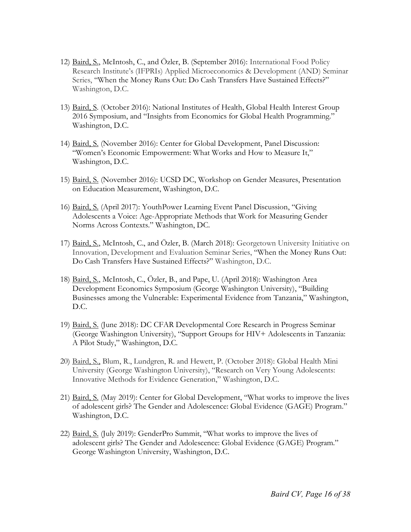- 12) Baird, S., McIntosh, C., and Özler, B. (September 2016): International Food Policy Research Institute's (IFPRIs) Applied Microeconomics & Development (AND) Seminar Series, "When the Money Runs Out: Do Cash Transfers Have Sustained Effects?" Washington, D.C.
- 13) Baird, S. (October 2016): National Institutes of Health, Global Health Interest Group 2016 Symposium, and "Insights from Economics for Global Health Programming." Washington, D.C.
- 14) Baird, S. (November 2016): Center for Global Development, Panel Discussion: "Women's Economic Empowerment: What Works and How to Measure It," Washington, D.C.
- 15) Baird, S. (November 2016): UCSD DC, Workshop on Gender Measures, Presentation on Education Measurement, Washington, D.C.
- 16) Baird, S. (April 2017): YouthPower Learning Event Panel Discussion, "Giving Adolescents a Voice: Age-Appropriate Methods that Work for Measuring Gender Norms Across Contexts." Washington, DC.
- 17) Baird, S., McIntosh, C., and Özler, B. (March 2018): Georgetown University Initiative on Innovation, Development and Evaluation Seminar Series, "When the Money Runs Out: Do Cash Transfers Have Sustained Effects?" Washington, D.C.
- 18) Baird, S., McIntosh, C., Özler, B., and Pape, U. (April 2018): Washington Area Development Economics Symposium (George Washington University), "Building Businesses among the Vulnerable: Experimental Evidence from Tanzania," Washington, D.C.
- 19) Baird, S. (June 2018): DC CFAR Developmental Core Research in Progress Seminar (George Washington University), "Support Groups for HIV+ Adolescents in Tanzania: A Pilot Study," Washington, D.C.
- 20) Baird, S., Blum, R., Lundgren, R. and Hewett, P. (October 2018): Global Health Mini University (George Washington University), "Research on Very Young Adolescents: Innovative Methods for Evidence Generation," Washington, D.C.
- 21) Baird, S. (May 2019): Center for Global Development, "What works to improve the lives of adolescent girls? The Gender and Adolescence: Global Evidence (GAGE) Program." Washington, D.C.
- 22) Baird, S. (July 2019): GenderPro Summit, "What works to improve the lives of adolescent girls? The Gender and Adolescence: Global Evidence (GAGE) Program." George Washington University, Washington, D.C.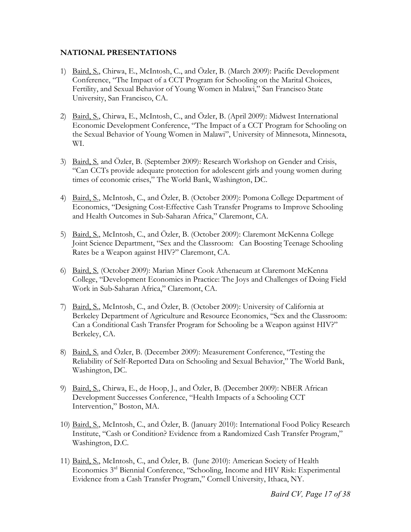### **NATIONAL PRESENTATIONS**

- 1) Baird, S., Chirwa, E., McIntosh, C., and Özler, B. (March 2009): Pacific Development Conference, "The Impact of a CCT Program for Schooling on the Marital Choices, Fertility, and Sexual Behavior of Young Women in Malawi," San Francisco State University, San Francisco, CA.
- 2) Baird, S., Chirwa, E., McIntosh, C., and Özler, B. (April 2009): Midwest International Economic Development Conference, "The Impact of a CCT Program for Schooling on the Sexual Behavior of Young Women in Malawi", University of Minnesota, Minnesota, WI.
- 3) Baird, S. and Özler, B. (September 2009): Research Workshop on Gender and Crisis, "Can CCTs provide adequate protection for adolescent girls and young women during times of economic crises," The World Bank, Washington, DC.
- 4) Baird, S., McIntosh, C., and Özler, B. (October 2009): Pomona College Department of Economics, "Designing Cost-Effective Cash Transfer Programs to Improve Schooling and Health Outcomes in Sub-Saharan Africa," Claremont, CA.
- 5) Baird, S., McIntosh, C., and Özler, B. (October 2009): Claremont McKenna College Joint Science Department, "Sex and the Classroom: Can Boosting Teenage Schooling Rates be a Weapon against HIV?" Claremont, CA.
- 6) Baird, S. (October 2009): Marian Miner Cook Athenaeum at Claremont McKenna College, "Development Economics in Practice: The Joys and Challenges of Doing Field Work in Sub-Saharan Africa," Claremont, CA.
- 7) Baird, S., McIntosh, C., and Özler, B. (October 2009): University of California at Berkeley Department of Agriculture and Resource Economics, "Sex and the Classroom: Can a Conditional Cash Transfer Program for Schooling be a Weapon against HIV?" Berkeley, CA.
- 8) Baird, S. and Özler, B. (December 2009): Measurement Conference, "Testing the Reliability of Self-Reported Data on Schooling and Sexual Behavior," The World Bank, Washington, DC.
- 9) Baird, S., Chirwa, E., de Hoop, J., and Özler, B. (December 2009): NBER African Development Successes Conference, "Health Impacts of a Schooling CCT Intervention," Boston, MA.
- 10) Baird, S., McIntosh, C., and Özler, B. (January 2010): International Food Policy Research Institute, "Cash or Condition? Evidence from a Randomized Cash Transfer Program," Washington, D.C.
- 11) Baird, S., McIntosh, C., and Özler, B. (June 2010): American Society of Health Economics 3rd Biennial Conference, "Schooling, Income and HIV Risk: Experimental Evidence from a Cash Transfer Program," Cornell University, Ithaca, NY.

*Baird CV, Page 17 of 38*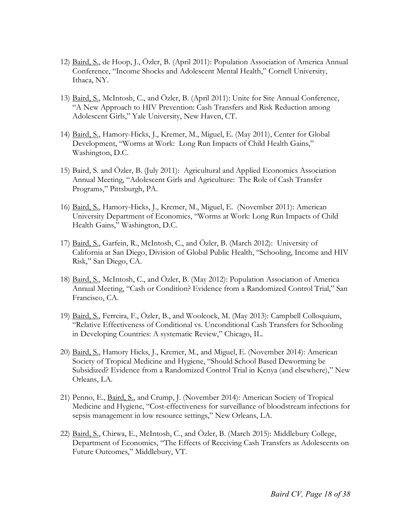- 12) Baird, S., de Hoop, J., Özler, B. (April 2011): Population Association of America Annual Conference, "Income Shocks and Adolescent Mental Health," Cornell University, Ithaca, NY.
- 13) Baird, S., McIntosh, C., and Özler, B. (April 2011): Unite for Site Annual Conference, "A New Approach to HIV Prevention: Cash Transfers and Risk Reduction among Adolescent Girls," Yale University, New Haven, CT.
- 14) Baird, S., Hamory-Hicks, J., Kremer, M., Miguel, E. (May 2011), Center for Global Development, "Worms at Work: Long Run Impacts of Child Health Gains," Washington, D.C.
- 15) Baird, S. and Özler, B. (July 2011): Agricultural and Applied Economics Association Annual Meeting, "Adolescent Girls and Agriculture: The Role of Cash Transfer Programs," Pittsburgh, PA.
- 16) Baird, S., Hamory-Hicks, J., Kremer, M., Miguel, E. (November 2011): American University Department of Economics, "Worms at Work: Long Run Impacts of Child Health Gains," Washington, D.C.
- 17) Baird, S., Garfein, R., McIntosh, C., and Özler, B. (March 2012): University of California at San Diego, Division of Global Public Health, "Schooling, Income and HIV Risk," San Diego, CA.
- 18) Baird, S., McIntosh, C., and Özler, B. (May 2012): Population Association of America Annual Meeting, "Cash or Condition? Evidence from a Randomized Control Trial," San Francisco, CA.
- 19) Baird, S., Ferreira, F., Özler, B., and Woolcock, M. (May 2013): Campbell Colloquium, "Relative Effectiveness of Conditional vs. Unconditional Cash Transfers for Schooling in Developing Countries: A systematic Review," Chicago, IL.
- 20) Baird, S., Hamory Hicks, J., Kremer, M., and Miguel, E. (November 2014): American Society of Tropical Medicine and Hygiene, "Should School Based Deworming be Subsidized? Evidence from a Randomized Control Trial in Kenya (and elsewhere)," New Orleans, LA.
- 21) Penno, E., Baird, S., and Crump, J. (November 2014): American Society of Tropical Medicine and Hygiene, "Cost-effectiveness for surveillance of bloodstream infections for sepsis management in low resource settings," New Orleans, LA.
- 22) Baird, S., Chirwa, E., McIntosh, C., and Özler, B. (March 2015): Middlebury College, Department of Economics, "The Effects of Receiving Cash Transfers as Adolescents on Future Outcomes," Middlebury, VT.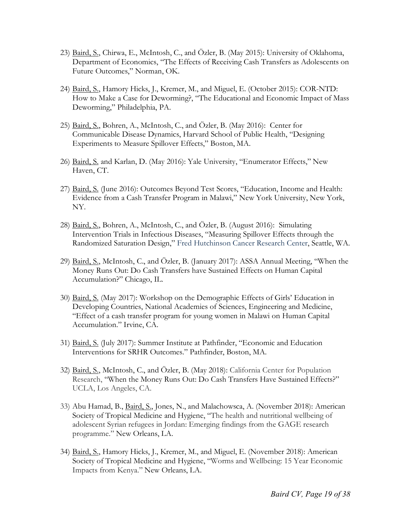- 23) Baird, S., Chirwa, E., McIntosh, C., and Özler, B. (May 2015): University of Oklahoma, Department of Economics, "The Effects of Receiving Cash Transfers as Adolescents on Future Outcomes," Norman, OK.
- 24) Baird, S., Hamory Hicks, J., Kremer, M., and Miguel, E. (October 2015): COR-NTD: How to Make a Case for Deworming?, "The Educational and Economic Impact of Mass Deworming," Philadelphia, PA.
- 25) Baird, S., Bohren, A., McIntosh, C., and Özler, B. (May 2016): Center for Communicable Disease Dynamics, Harvard School of Public Health, "Designing Experiments to Measure Spillover Effects," Boston, MA.
- 26) Baird, S. and Karlan, D. (May 2016): Yale University, "Enumerator Effects," New Haven, CT.
- 27) Baird, S. (June 2016): Outcomes Beyond Test Scores, "Education, Income and Health: Evidence from a Cash Transfer Program in Malawi," New York University, New York, NY.
- 28) Baird, S., Bohren, A., McIntosh, C., and Özler, B. (August 2016): Simulating Intervention Trials in Infectious Diseases, "Measuring Spillover Effects through the Randomized Saturation Design," Fred Hutchinson Cancer Research Center, Seattle, WA.
- 29) Baird, S., McIntosh, C., and Özler, B. (January 2017): ASSA Annual Meeting, "When the Money Runs Out: Do Cash Transfers have Sustained Effects on Human Capital Accumulation?" Chicago, IL.
- 30) Baird, S. (May 2017): Workshop on the Demographic Effects of Girls' Education in Developing Countries, National Academies of Sciences, Engineering and Medicine, "Effect of a cash transfer program for young women in Malawi on Human Capital Accumulation." Irvine, CA.
- 31) Baird, S. (July 2017): Summer Institute at Pathfinder, "Economic and Education Interventions for SRHR Outcomes." Pathfinder, Boston, MA.
- 32) Baird, S., McIntosh, C., and Özler, B. (May 2018): California Center for Population Research, "When the Money Runs Out: Do Cash Transfers Have Sustained Effects?" UCLA, Los Angeles, CA.
- 33) Abu Hamad, B., Baird, S., Jones, N., and Malachowsca, A. (November 2018): American Society of Tropical Medicine and Hygiene, "The health and nutritional wellbeing of adolescent Syrian refugees in Jordan: Emerging findings from the GAGE research programme." New Orleans, LA.
- 34) Baird, S., Hamory Hicks, J., Kremer, M., and Miguel, E. (November 2018): American Society of Tropical Medicine and Hygiene, "Worms and Wellbeing: 15 Year Economic Impacts from Kenya." New Orleans, LA.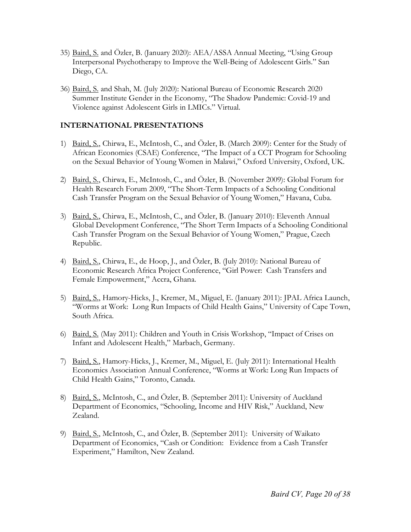- 35) Baird, S. and Özler, B. (January 2020): AEA/ASSA Annual Meeting, "Using Group Interpersonal Psychotherapy to Improve the Well-Being of Adolescent Girls." San Diego, CA.
- 36) Baird, S. and Shah, M. (July 2020): National Bureau of Economic Research 2020 Summer Institute Gender in the Economy, "The Shadow Pandemic: Covid-19 and Violence against Adolescent Girls in LMICs." Virtual.

## **INTERNATIONAL PRESENTATIONS**

- 1) Baird, S., Chirwa, E., McIntosh, C., and Özler, B. (March 2009): Center for the Study of African Economies (CSAE) Conference, "The Impact of a CCT Program for Schooling on the Sexual Behavior of Young Women in Malawi," Oxford University, Oxford, UK.
- 2) Baird, S., Chirwa, E., McIntosh, C., and Özler, B. (November 2009): Global Forum for Health Research Forum 2009, "The Short-Term Impacts of a Schooling Conditional Cash Transfer Program on the Sexual Behavior of Young Women," Havana, Cuba.
- 3) Baird, S., Chirwa, E., McIntosh, C., and Özler, B. (January 2010): Eleventh Annual Global Development Conference, "The Short Term Impacts of a Schooling Conditional Cash Transfer Program on the Sexual Behavior of Young Women," Prague, Czech Republic.
- 4) Baird, S., Chirwa, E., de Hoop, J., and Özler, B. (July 2010): National Bureau of Economic Research Africa Project Conference, "Girl Power: Cash Transfers and Female Empowerment," Accra, Ghana.
- 5) Baird, S., Hamory-Hicks, J., Kremer, M., Miguel, E. (January 2011): JPAL Africa Launch, "Worms at Work: Long Run Impacts of Child Health Gains," University of Cape Town, South Africa.
- 6) Baird, S. (May 2011): Children and Youth in Crisis Workshop, "Impact of Crises on Infant and Adolescent Health," Marbach, Germany.
- 7) Baird, S., Hamory-Hicks, J., Kremer, M., Miguel, E. (July 2011): International Health Economics Association Annual Conference, "Worms at Work: Long Run Impacts of Child Health Gains," Toronto, Canada.
- 8) Baird, S., McIntosh, C., and Özler, B. (September 2011): University of Auckland Department of Economics, "Schooling, Income and HIV Risk," Auckland, New Zealand.
- 9) Baird, S., McIntosh, C., and Özler, B. (September 2011): University of Waikato Department of Economics, "Cash or Condition: Evidence from a Cash Transfer Experiment," Hamilton, New Zealand.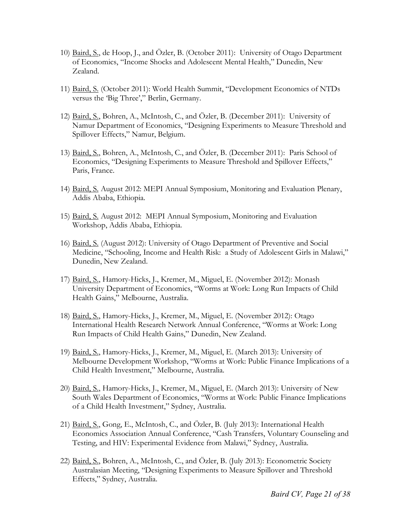- 10) Baird, S., de Hoop, J., and Özler, B. (October 2011): University of Otago Department of Economics, "Income Shocks and Adolescent Mental Health," Dunedin, New Zealand.
- 11) Baird, S. (October 2011): World Health Summit, "Development Economics of NTDs versus the 'Big Three'," Berlin, Germany.
- 12) Baird, S., Bohren, A., McIntosh, C., and Özler, B. (December 2011): University of Namur Department of Economics, "Designing Experiments to Measure Threshold and Spillover Effects," Namur, Belgium.
- 13) Baird, S., Bohren, A., McIntosh, C., and Özler, B. (December 2011): Paris School of Economics, "Designing Experiments to Measure Threshold and Spillover Effects," Paris, France.
- 14) Baird, S. August 2012: MEPI Annual Symposium, Monitoring and Evaluation Plenary, Addis Ababa, Ethiopia.
- 15) Baird, S. August 2012: MEPI Annual Symposium, Monitoring and Evaluation Workshop, Addis Ababa, Ethiopia.
- 16) Baird, S. (August 2012): University of Otago Department of Preventive and Social Medicine, "Schooling, Income and Health Risk: a Study of Adolescent Girls in Malawi," Dunedin, New Zealand.
- 17) Baird, S., Hamory-Hicks, J., Kremer, M., Miguel, E. (November 2012): Monash University Department of Economics, "Worms at Work: Long Run Impacts of Child Health Gains," Melbourne, Australia.
- 18) Baird, S., Hamory-Hicks, J., Kremer, M., Miguel, E. (November 2012): Otago International Health Research Network Annual Conference, "Worms at Work: Long Run Impacts of Child Health Gains," Dunedin, New Zealand.
- 19) Baird, S., Hamory-Hicks, J., Kremer, M., Miguel, E. (March 2013): University of Melbourne Development Workshop, "Worms at Work: Public Finance Implications of a Child Health Investment," Melbourne, Australia.
- 20) Baird, S., Hamory-Hicks, J., Kremer, M., Miguel, E. (March 2013): University of New South Wales Department of Economics, "Worms at Work: Public Finance Implications of a Child Health Investment," Sydney, Australia.
- 21) Baird, S., Gong, E., McIntosh, C., and Özler, B. (July 2013): International Health Economics Association Annual Conference, "Cash Transfers, Voluntary Counseling and Testing, and HIV: Experimental Evidence from Malawi," Sydney, Australia.
- 22) Baird, S., Bohren, A., McIntosh, C., and Özler, B. (July 2013): Econometric Society Australasian Meeting, "Designing Experiments to Measure Spillover and Threshold Effects," Sydney, Australia.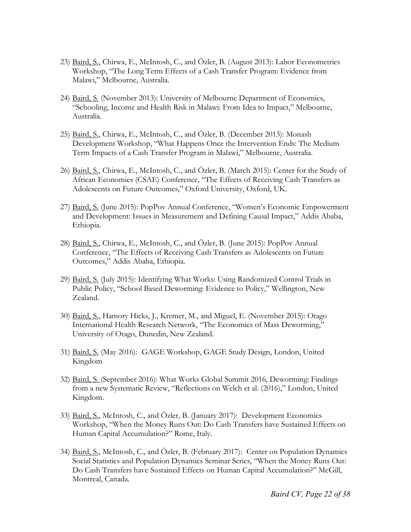- 23) Baird, S., Chirwa, E., McIntosh, C., and Özler, B. (August 2013): Labor Econometrics Workshop, "The Long Term Effects of a Cash Transfer Program: Evidence from Malawi," Melbourne, Australia.
- 24) Baird, S. (November 2013): University of Melbourne Department of Economics, "Schooling, Income and Health Risk in Malawi: From Idea to Impact," Melbourne, Australia.
- 25) Baird, S., Chirwa, E., McIntosh, C., and Özler, B. (December 2013): Monash Development Workshop, "What Happens Once the Intervention Ends: The Medium Term Impacts of a Cash Transfer Program in Malawi," Melbourne, Australia.
- 26) Baird, S., Chirwa, E., McIntosh, C., and Özler, B. (March 2015): Center for the Study of African Economies (CSAE) Conference, "The Effects of Receiving Cash Transfers as Adolescents on Future Outcomes," Oxford University, Oxford, UK.
- 27) Baird, S. (June 2015): PopPov Annual Conference, "Women's Economic Empowerment and Development: Issues in Measurement and Defining Causal Impact," Addis Ababa, Ethiopia.
- 28) Baird, S., Chirwa, E., McIntosh, C., and Özler, B. (June 2015): PopPov Annual Conference, "The Effects of Receiving Cash Transfers as Adolescents on Future Outcomes," Addis Ababa, Ethiopia.
- 29) Baird, S. (July 2015): Identifying What Works: Using Randomized Control Trials in Public Policy, "School Based Deworming: Evidence to Policy," Wellington, New Zealand.
- 30) Baird, S., Hamory Hicks, J., Kremer, M., and Miguel, E. (November 2015): Otago International Health Research Network, "The Economics of Mass Deworming," University of Otago, Dunedin, New Zealand.
- 31) Baird, S. (May 2016): GAGE Workshop, GAGE Study Design, London, United Kingdom
- 32) Baird, S. (September 2016): What Works Global Summit 2016, Deworming: Findings from a new Systematic Review, "Reflections on Welch et al. (2016)," London, United Kingdom.
- 33) Baird, S., McIntosh, C., and Özler, B. (January 2017): Development Economics Workshop, "When the Money Runs Out: Do Cash Transfers have Sustained Effects on Human Capital Accumulation?" Rome, Italy.
- 34) Baird, S., McIntosh, C., and Özler, B. (February 2017): Center on Population Dynamics Social Statistics and Population Dynamics Seminar Series, "When the Money Runs Out: Do Cash Transfers have Sustained Effects on Human Capital Accumulation?" McGill, Montreal, Canada.

*Baird CV, Page 22 of 38*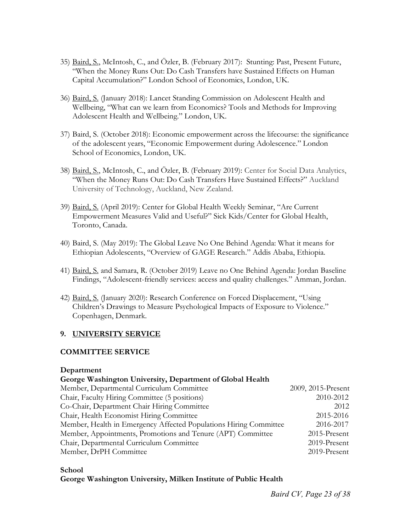- 35) Baird, S., McIntosh, C., and Özler, B. (February 2017): Stunting: Past, Present Future, "When the Money Runs Out: Do Cash Transfers have Sustained Effects on Human Capital Accumulation?" London School of Economics, London, UK.
- 36) Baird, S. (January 2018): Lancet Standing Commission on Adolescent Health and Wellbeing, "What can we learn from Economics? Tools and Methods for Improving Adolescent Health and Wellbeing." London, UK.
- 37) Baird, S. (October 2018): Economic empowerment across the lifecourse: the significance of the adolescent years, "Economic Empowerment during Adolescence." London School of Economics, London, UK.
- 38) Baird, S., McIntosh, C., and Özler, B. (February 2019): Center for Social Data Analytics, "When the Money Runs Out: Do Cash Transfers Have Sustained Effects?" Auckland University of Technology, Auckland, New Zealand.
- 39) Baird, S. (April 2019): Center for Global Health Weekly Seminar, "Are Current Empowerment Measures Valid and Useful?" Sick Kids/Center for Global Health, Toronto, Canada.
- 40) Baird, S. (May 2019): The Global Leave No One Behind Agenda: What it means for Ethiopian Adolescents, "Overview of GAGE Research." Addis Ababa, Ethiopia.
- 41) Baird, S. and Samara, R. (October 2019) Leave no One Behind Agenda: Jordan Baseline Findings, "Adolescent-friendly services: access and quality challenges." Amman, Jordan.
- 42) Baird, S. (January 2020): Research Conference on Forced Displacement, "Using Children's Drawings to Measure Psychological Impacts of Exposure to Violence." Copenhagen, Denmark.

## **9. UNIVERSITY SERVICE**

### **COMMITTEE SERVICE**

### **Department**

### **George Washington University, Department of Global Health**

| Member, Departmental Curriculum Committee                         | 2009, 2015-Present |
|-------------------------------------------------------------------|--------------------|
| Chair, Faculty Hiring Committee (5 positions)                     | 2010-2012          |
| Co-Chair, Department Chair Hiring Committee                       | 2012               |
| Chair, Health Economist Hiring Committee                          | 2015-2016          |
| Member, Health in Emergency Affected Populations Hiring Committee | 2016-2017          |
| Member, Appointments, Promotions and Tenure (APT) Committee       | 2015-Present       |
| Chair, Departmental Curriculum Committee                          | 2019-Present       |
| Member, DrPH Committee                                            | 2019-Present       |
|                                                                   |                    |

**School** 

## **George Washington University, Milken Institute of Public Health**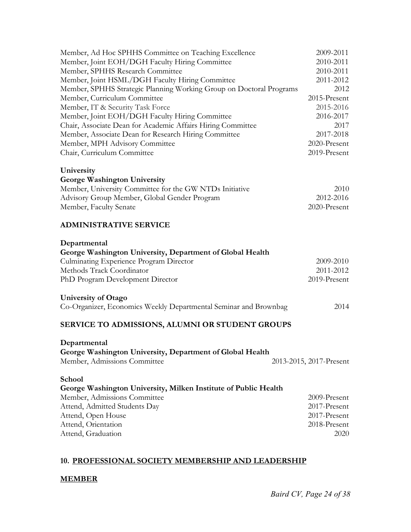| Member, Ad Hoc SPHHS Committee on Teaching Excellence               | 2009-2011               |
|---------------------------------------------------------------------|-------------------------|
| Member, Joint EOH/DGH Faculty Hiring Committee                      | 2010-2011               |
| Member, SPHHS Research Committee                                    | 2010-2011               |
| Member, Joint HSML/DGH Faculty Hiring Committee                     | 2011-2012               |
| Member, SPHHS Strategic Planning Working Group on Doctoral Programs | 2012                    |
| Member, Curriculum Committee                                        | 2015-Present            |
| Member, IT & Security Task Force                                    | 2015-2016               |
| Member, Joint EOH/DGH Faculty Hiring Committee                      | 2016-2017               |
| Chair, Associate Dean for Academic Affairs Hiring Committee         | 2017                    |
| Member, Associate Dean for Research Hiring Committee                | 2017-2018               |
| Member, MPH Advisory Committee                                      | 2020-Present            |
| Chair, Curriculum Committee                                         | 2019-Present            |
| University                                                          |                         |
| <b>George Washington University</b>                                 |                         |
| Member, University Committee for the GW NTDs Initiative             | 2010                    |
| Advisory Group Member, Global Gender Program                        | 2012-2016               |
| Member, Faculty Senate                                              | 2020-Present            |
| <b>ADMINISTRATIVE SERVICE</b>                                       |                         |
| Departmental                                                        |                         |
| George Washington University, Department of Global Health           |                         |
| Culminating Experience Program Director                             | 2009-2010               |
| Methods Track Coordinator                                           | 2011-2012               |
| PhD Program Development Director                                    | 2019-Present            |
| <b>University of Otago</b>                                          |                         |
| Co-Organizer, Economics Weekly Departmental Seminar and Brownbag    | 2014                    |
| SERVICE TO ADMISSIONS, ALUMNI OR STUDENT GROUPS                     |                         |
| Departmental                                                        |                         |
| George Washington University, Department of Global Health           |                         |
| Member, Admissions Committee                                        | 2013-2015, 2017-Present |
| School                                                              |                         |
| George Washington University, Milken Institute of Public Health     |                         |
| Member, Admissions Committee                                        | 2009-Present            |
| Attend, Admitted Students Day                                       | 2017-Present            |
| Attend, Open House                                                  | 2017-Present            |
| Attend, Orientation                                                 | 2018-Present            |
| Attend, Graduation                                                  | 2020                    |

## **10. PROFESSIONAL SOCIETY MEMBERSHIP AND LEADERSHIP**

## **MEMBER**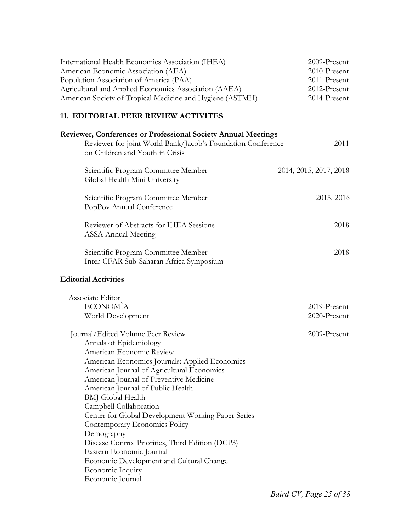| International Health Economics Association (IHEA)         | 2009-Present |
|-----------------------------------------------------------|--------------|
| American Economic Association (AEA)                       | 2010-Present |
| Population Association of America (PAA)                   | 2011-Present |
| Agricultural and Applied Economics Association (AAEA)     | 2012-Present |
| American Society of Tropical Medicine and Hygiene (ASTMH) | 2014-Present |
|                                                           |              |

## **11. EDITORIAL PEER REVIEW ACTIVITES**

| <b>Reviewer, Conferences or Professional Society Annual Meetings</b><br>Reviewer for joint World Bank/Jacob's Foundation Conference<br>on Children and Youth in Crisis                                                                                                                                                                                                                                                                                                                                                                                                                                               | 2011                         |
|----------------------------------------------------------------------------------------------------------------------------------------------------------------------------------------------------------------------------------------------------------------------------------------------------------------------------------------------------------------------------------------------------------------------------------------------------------------------------------------------------------------------------------------------------------------------------------------------------------------------|------------------------------|
| Scientific Program Committee Member<br>Global Health Mini University                                                                                                                                                                                                                                                                                                                                                                                                                                                                                                                                                 | 2014, 2015, 2017, 2018       |
| Scientific Program Committee Member<br>PopPov Annual Conference                                                                                                                                                                                                                                                                                                                                                                                                                                                                                                                                                      | 2015, 2016                   |
| Reviewer of Abstracts for IHEA Sessions<br><b>ASSA Annual Meeting</b>                                                                                                                                                                                                                                                                                                                                                                                                                                                                                                                                                | 2018                         |
| Scientific Program Committee Member<br>Inter-CFAR Sub-Saharan Africa Symposium                                                                                                                                                                                                                                                                                                                                                                                                                                                                                                                                       | 2018                         |
| <b>Editorial Activities</b>                                                                                                                                                                                                                                                                                                                                                                                                                                                                                                                                                                                          |                              |
| <b>Associate Editor</b><br><b>ECONOMIA</b><br>World Development                                                                                                                                                                                                                                                                                                                                                                                                                                                                                                                                                      | 2019-Present<br>2020-Present |
| <u><b>Journal/Edited Volume Peer Review</b></u><br>Annals of Epidemiology<br>American Economic Review<br>American Economics Journals: Applied Economics<br>American Journal of Agricultural Economics<br>American Journal of Preventive Medicine<br>American Journal of Public Health<br><b>BMJ</b> Global Health<br>Campbell Collaboration<br>Center for Global Development Working Paper Series<br>Contemporary Economics Policy<br>Demography<br>Disease Control Priorities, Third Edition (DCP3)<br>Eastern Economic Journal<br>Economic Development and Cultural Change<br>Economic Inquiry<br>Economic Journal | 2009-Present                 |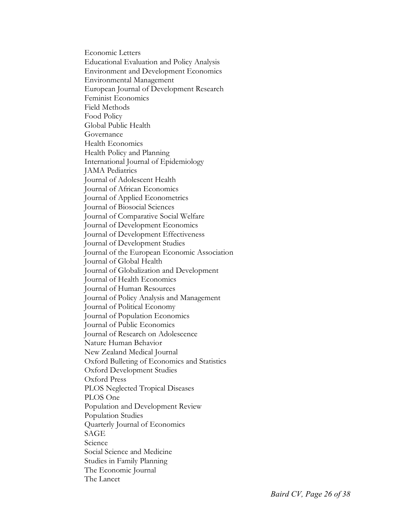Economic Letters Educational Evaluation and Policy Analysis Environment and Development Economics Environmental Management European Journal of Development Research Feminist Economics Field Methods Food Policy Global Public Health Governance Health Economics Health Policy and Planning International Journal of Epidemiology JAMA Pediatrics Journal of Adolescent Health Journal of African Economics Journal of Applied Econometrics Journal of Biosocial Sciences Journal of Comparative Social Welfare Journal of Development Economics Journal of Development Effectiveness Journal of Development Studies Journal of the European Economic Association Journal of Global Health Journal of Globalization and Development Journal of Health Economics Journal of Human Resources Journal of Policy Analysis and Management Journal of Political Economy Journal of Population Economics Journal of Public Economics Journal of Research on Adolescence Nature Human Behavior New Zealand Medical Journal Oxford Bulleting of Economics and Statistics Oxford Development Studies Oxford Press PLOS Neglected Tropical Diseases PLOS One Population and Development Review Population Studies Quarterly Journal of Economics SAGE Science Social Science and Medicine Studies in Family Planning The Economic Journal The Lancet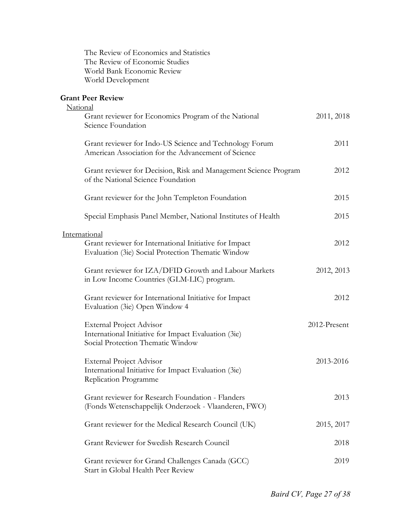The Review of Economics and Statistics The Review of Economic Studies World Bank Economic Review World Development

# **Grant Peer Review**

| National                                                                                                                      |              |
|-------------------------------------------------------------------------------------------------------------------------------|--------------|
| Grant reviewer for Economics Program of the National<br>Science Foundation                                                    | 2011, 2018   |
| Grant reviewer for Indo-US Science and Technology Forum<br>American Association for the Advancement of Science                | 2011         |
| Grant reviewer for Decision, Risk and Management Science Program<br>of the National Science Foundation                        | 2012         |
| Grant reviewer for the John Templeton Foundation                                                                              | 2015         |
| Special Emphasis Panel Member, National Institutes of Health                                                                  | 2015         |
| International<br>Grant reviewer for International Initiative for Impact<br>Evaluation (3ie) Social Protection Thematic Window | 2012         |
| Grant reviewer for IZA/DFID Growth and Labour Markets<br>in Low Income Countries (GLM-LIC) program.                           | 2012, 2013   |
| Grant reviewer for International Initiative for Impact<br>Evaluation (3ie) Open Window 4                                      | 2012         |
| <b>External Project Advisor</b><br>International Initiative for Impact Evaluation (3ie)<br>Social Protection Thematic Window  | 2012-Present |
| <b>External Project Advisor</b><br>International Initiative for Impact Evaluation (3ie)<br>Replication Programme              | 2013-2016    |
| Grant reviewer for Research Foundation - Flanders<br>(Fonds Wetenschappelijk Onderzoek - Vlaanderen, FWO)                     | 2013         |
| Grant reviewer for the Medical Research Council (UK)                                                                          | 2015, 2017   |
| Grant Reviewer for Swedish Research Council                                                                                   | 2018         |
| Grant reviewer for Grand Challenges Canada (GCC)<br>Start in Global Health Peer Review                                        | 2019         |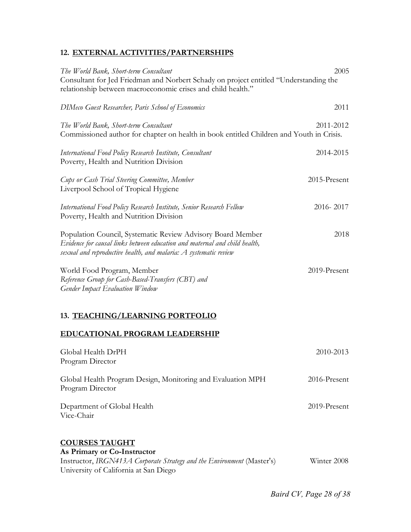## **12. EXTERNAL ACTIVITIES/PARTNERSHIPS**

| The World Bank, Short-term Consultant<br>Consultant for Jed Friedman and Norbert Schady on project entitled "Understanding the<br>relationship between macroeconomic crises and child health."                | 2005         |
|---------------------------------------------------------------------------------------------------------------------------------------------------------------------------------------------------------------|--------------|
| <b>DIMeco Guest Researcher, Paris School of Economics</b>                                                                                                                                                     | 2011         |
| The World Bank, Short-term Consultant<br>Commissioned author for chapter on health in book entitled Children and Youth in Crisis.                                                                             | 2011-2012    |
| International Food Policy Research Institute, Consultant<br>Poverty, Health and Nutrition Division                                                                                                            | 2014-2015    |
| Cups or Cash Trial Steering Committee, Member<br>Liverpool School of Tropical Hygiene                                                                                                                         | 2015-Present |
| International Food Policy Research Institute, Senior Research Fellow<br>Poverty, Health and Nutrition Division                                                                                                | 2016-2017    |
| Population Council, Systematic Review Advisory Board Member<br>Evidence for causal links between education and maternal and child health,<br>sexual and reproductive health, and malaria: A systematic review | 2018         |
| World Food Program, Member<br>Reference Group for Cash-Based-Transfers (CBT) and<br><b>Gender Impact Evaluation Window</b>                                                                                    | 2019-Present |
| 13. TEACHING/LEARNING PORTFOLIO                                                                                                                                                                               |              |

# **EDUCATIONAL PROGRAM LEADERSHIP**

| Global Health DrPH                                                                                                             | 2010-2013       |
|--------------------------------------------------------------------------------------------------------------------------------|-----------------|
| Program Director                                                                                                               |                 |
| Global Health Program Design, Monitoring and Evaluation MPH<br>Program Director                                                | $2016$ -Present |
| Department of Global Health<br>Vice-Chair                                                                                      | 2019-Present    |
| <b>COURSES TAUGHT</b><br>As Primary or Co-Instructor<br>Instructor, IRGN413A Corporate Strategy and the Environment (Master's) | Winter 2008     |
| University of California at San Diego                                                                                          |                 |

*Baird CV, Page 28 of 38*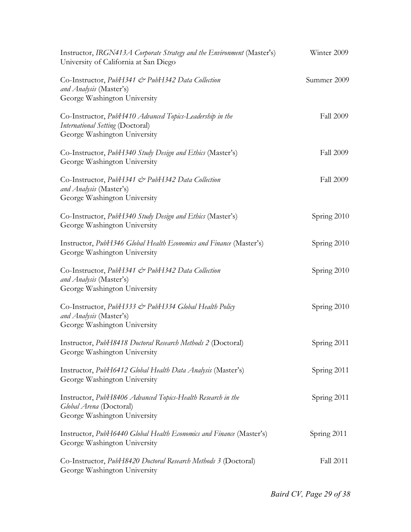| Instructor, IRGN413A Corporate Strategy and the Environment (Master's)<br>University of California at San Diego              | Winter 2009      |
|------------------------------------------------------------------------------------------------------------------------------|------------------|
| Co-Instructor, PubH341 & PubH342 Data Collection<br>and Analysis (Master's)<br>George Washington University                  | Summer 2009      |
| Co-Instructor, PubH410 Advanced Topics-Leadership in the<br>International Setting (Doctoral)<br>George Washington University | <b>Fall 2009</b> |
| Co-Instructor, PubH340 Study Design and Ethics (Master's)<br>George Washington University                                    | <b>Fall 2009</b> |
| Co-Instructor, PubH341 & PubH342 Data Collection<br>and Analysis (Master's)<br>George Washington University                  | <b>Fall 2009</b> |
| Co-Instructor, PubH340 Study Design and Ethics (Master's)<br>George Washington University                                    | Spring 2010      |
| Instructor, PubH346 Global Health Economics and Finance (Master's)<br>George Washington University                           | Spring 2010      |
| Co-Instructor, PubH341 & PubH342 Data Collection<br>and Analysis (Master's)<br>George Washington University                  | Spring 2010      |
| Co-Instructor, PubH333 & PubH334 Global Health Policy<br>and Analysis (Master's)<br>George Washington University             | Spring 2010      |
| Instructor, PubH8418 Doctoral Research Methods 2 (Doctoral)<br>George Washington University                                  | Spring 2011      |
| Instructor, PubH6412 Global Health Data Analysis (Master's)<br>George Washington University                                  | Spring 2011      |
| Instructor, PubH8406 Advanced Topics-Health Research in the<br>Global Arena (Doctoral)<br>George Washington University       | Spring 2011      |
| Instructor, PubH6440 Global Health Economics and Finance (Master's)<br>George Washington University                          | Spring 2011      |
| Co-Instructor, PubH8420 Doctoral Research Methods 3 (Doctoral)<br>George Washington University                               | Fall 2011        |

*Baird CV, Page 29 of 38*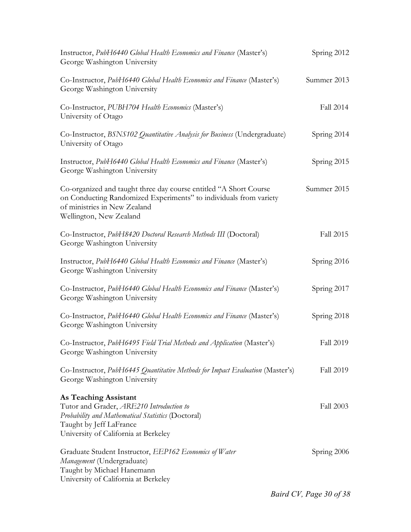| Instructor, PubH6440 Global Health Economics and Finance (Master's)<br>George Washington University                                                                                               | Spring 2012 |
|---------------------------------------------------------------------------------------------------------------------------------------------------------------------------------------------------|-------------|
| Co-Instructor, PubH6440 Global Health Economics and Finance (Master's)<br>George Washington University                                                                                            | Summer 2013 |
| Co-Instructor, PUBH704 Health Economics (Master's)<br>University of Otago                                                                                                                         | Fall 2014   |
| Co-Instructor, BSNS102 Quantitative Analysis for Business (Undergraduate)<br>University of Otago                                                                                                  | Spring 2014 |
| Instructor, PubH6440 Global Health Economics and Finance (Master's)<br>George Washington University                                                                                               | Spring 2015 |
| Co-organized and taught three day course entitled "A Short Course<br>on Conducting Randomized Experiments" to individuals from variety<br>of ministries in New Zealand<br>Wellington, New Zealand | Summer 2015 |
| Co-Instructor, PubH8420 Doctoral Research Methods III (Doctoral)<br>George Washington University                                                                                                  | Fall 2015   |
| Instructor, PubH6440 Global Health Economics and Finance (Master's)<br>George Washington University                                                                                               | Spring 2016 |
| Co-Instructor, PubH6440 Global Health Economics and Finance (Master's)<br>George Washington University                                                                                            | Spring 2017 |
| Co-Instructor, PubH6440 Global Health Economics and Finance (Master's)<br>George Washington University                                                                                            | Spring 2018 |
| Co-Instructor, PubH6495 Field Trial Methods and Application (Master's)<br>George Washington University                                                                                            | Fall 2019   |
| Co-Instructor, PubH6445 Quantitative Methods for Impact Evaluation (Master's)<br>George Washington University                                                                                     | Fall 2019   |
| <b>As Teaching Assistant</b><br>Tutor and Grader, ARE210 Introduction to<br>Probability and Mathematical Statistics (Doctoral)<br>Taught by Jeff LaFrance<br>University of California at Berkeley | Fall 2003   |
| Graduate Student Instructor, EEP162 Economics of Water<br>Management (Undergraduate)<br>Taught by Michael Hanemann<br>University of California at Berkeley                                        | Spring 2006 |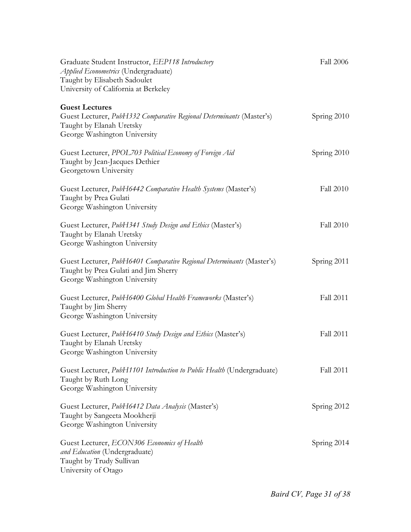| Graduate Student Instructor, EEP118 Introductory<br>Applied Econometrics (Undergraduate)<br>Taught by Elisabeth Sadoulet<br>University of California at Berkeley | <b>Fall 2006</b> |
|------------------------------------------------------------------------------------------------------------------------------------------------------------------|------------------|
| <b>Guest Lectures</b><br>Guest Lecturer, PubH332 Comparative Regional Determinants (Master's)<br>Taught by Elanah Uretsky<br>George Washington University        | Spring 2010      |
| Guest Lecturer, PPOL703 Political Economy of Foreign Aid<br>Taught by Jean-Jacques Dethier<br>Georgetown University                                              | Spring 2010      |
| Guest Lecturer, PubH6442 Comparative Health Systems (Master's)<br>Taught by Prea Gulati<br>George Washington University                                          | <b>Fall 2010</b> |
| Guest Lecturer, PubH341 Study Design and Ethics (Master's)<br>Taught by Elanah Uretsky<br>George Washington University                                           | <b>Fall 2010</b> |
| Guest Lecturer, PubH6401 Comparative Regional Determinants (Master's)<br>Taught by Prea Gulati and Jim Sherry<br>George Washington University                    | Spring 2011      |
| Guest Lecturer, PubH6400 Global Health Frameworks (Master's)<br>Taught by Jim Sherry<br>George Washington University                                             | <b>Fall 2011</b> |
| Guest Lecturer, PubH6410 Study Design and Ethics (Master's)<br>Taught by Elanah Uretsky<br>George Washington University                                          | <b>Fall 2011</b> |
| Guest Lecturer, PubH1101 Introduction to Public Health (Undergraduate)<br>Taught by Ruth Long<br>George Washington University                                    | Fall 2011        |
| Guest Lecturer, PubH6412 Data Analysis (Master's)<br>Taught by Sangeeta Mookherji<br>George Washington University                                                | Spring 2012      |
| Guest Lecturer, ECON306 Economics of Health<br>and Education (Undergraduate)<br>Taught by Trudy Sullivan<br>University of Otago                                  | Spring 2014      |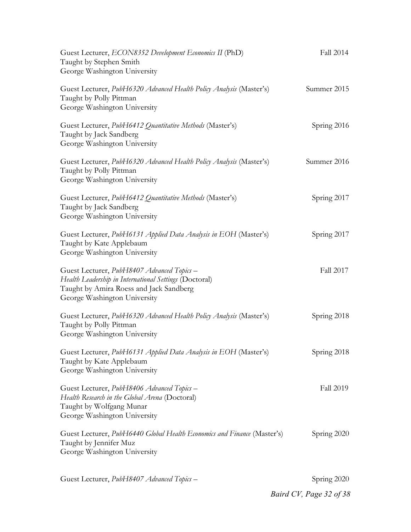| Guest Lecturer, ECON8352 Development Economics II (PhD)<br>Taught by Stephen Smith<br>George Washington University                                                              | Fall 2014        |
|---------------------------------------------------------------------------------------------------------------------------------------------------------------------------------|------------------|
| Guest Lecturer, PubH6320 Advanced Health Policy Analysis (Master's)<br>Taught by Polly Pittman<br>George Washington University                                                  | Summer 2015      |
| Guest Lecturer, PubH6412 Quantitative Methods (Master's)<br>Taught by Jack Sandberg<br>George Washington University                                                             | Spring 2016      |
| Guest Lecturer, PubH6320 Advanced Health Policy Analysis (Master's)<br>Taught by Polly Pittman<br>George Washington University                                                  | Summer 2016      |
| Guest Lecturer, PubH6412 Quantitative Methods (Master's)<br>Taught by Jack Sandberg<br>George Washington University                                                             | Spring 2017      |
| Guest Lecturer, PubH6131 Applied Data Analysis in EOH (Master's)<br>Taught by Kate Applebaum<br>George Washington University                                                    | Spring 2017      |
| Guest Lecturer, PubH8407 Advanced Topics -<br>Health Leadership in International Settings (Doctoral)<br>Taught by Amira Roess and Jack Sandberg<br>George Washington University | Fall 2017        |
| Guest Lecturer, PubH6320 Advanced Health Policy Analysis (Master's)<br>Taught by Polly Pittman<br>George Washington University                                                  | Spring 2018      |
| Guest Lecturer, PubH6131 Applied Data Analysis in EOH (Master's)<br>Taught by Kate Applebaum<br>George Washington University                                                    | Spring 2018      |
| Guest Lecturer, PubH8406 Advanced Topics -<br>Health Research in the Global Arena (Doctoral)<br>Taught by Wolfgang Munar<br>George Washington University                        | <b>Fall 2019</b> |
| Guest Lecturer, PubH6440 Global Health Economics and Finance (Master's)<br>Taught by Jennifer Muz<br>George Washington University                                               | Spring 2020      |

Guest Lecturer, *PubH8407 Advanced Topics* – Spring 2020

*Baird CV, Page 32 of 38*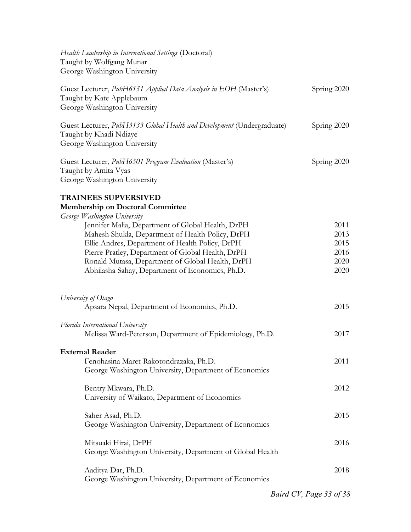| Health Leadership in International Settings (Doctoral)<br>Taught by Wolfgang Munar<br>George Washington University               |                         |
|----------------------------------------------------------------------------------------------------------------------------------|-------------------------|
| Guest Lecturer, PubH6131 Applied Data Analysis in EOH (Master's)<br>Taught by Kate Applebaum<br>George Washington University     | Spring 2020             |
| Guest Lecturer, PubH3133 Global Health and Development (Undergraduate)<br>Taught by Khadi Ndiaye<br>George Washington University | Spring 2020             |
| Guest Lecturer, PubH6501 Program Evaluation (Master's)<br>Taught by Amita Vyas<br>George Washington University                   | Spring 2020             |
| <b>TRAINEES SUPVERSIVED</b>                                                                                                      |                         |
| <b>Membership on Doctoral Committee</b>                                                                                          |                         |
| George Washington University                                                                                                     | 2011                    |
| Jennifer Malia, Department of Global Health, DrPH<br>Mahesh Shukla, Department of Health Policy, DrPH                            | 2013                    |
| Ellie Andres, Department of Health Policy, DrPH                                                                                  | 2015                    |
| Pierre Pratley, Department of Global Health, DrPH                                                                                | 2016                    |
| Ronald Mutasa, Department of Global Health, DrPH                                                                                 | 2020                    |
| Abhilasha Sahay, Department of Economics, Ph.D.                                                                                  | 2020                    |
| University of Otago                                                                                                              |                         |
| Apsara Nepal, Department of Economics, Ph.D.                                                                                     | 2015                    |
| Florida International University                                                                                                 |                         |
| Melissa Ward-Peterson, Department of Epidemiology, Ph.D.                                                                         | 2017                    |
| <b>External Reader</b>                                                                                                           |                         |
| Fenohasina Maret-Rakotondrazaka, Ph.D.                                                                                           | 2011                    |
| George Washington University, Department of Economics                                                                            |                         |
| Bentry Mkwara, Ph.D.                                                                                                             | 2012                    |
| University of Waikato, Department of Economics                                                                                   |                         |
| Saher Asad, Ph.D.                                                                                                                | 2015                    |
| George Washington University, Department of Economics                                                                            |                         |
| Mitsuaki Hirai, DrPH                                                                                                             | 2016                    |
| George Washington University, Department of Global Health                                                                        |                         |
|                                                                                                                                  |                         |
| Aaditya Dar, Ph.D.<br>George Washington University, Department of Economics                                                      | 2018                    |
|                                                                                                                                  |                         |
|                                                                                                                                  | Baird CV, Page 33 of 38 |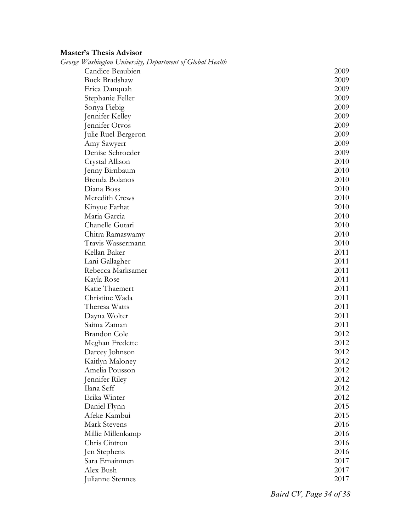## **Master's Thesis Advisor**

| George Washington University, Department of Global Health |      |
|-----------------------------------------------------------|------|
| Candice Beaubien                                          | 2009 |
| <b>Buck Bradshaw</b>                                      | 2009 |
| Erica Danquah                                             | 2009 |
| Stephanie Feller                                          | 2009 |
| Sonya Fiebig                                              | 2009 |
| Jennifer Kelley                                           | 2009 |
| Jennifer Otvos                                            | 2009 |
| Julie Ruel-Bergeron                                       | 2009 |
| Amy Sawyerr                                               | 2009 |
| Denise Schroeder                                          | 2009 |
| Crystal Allison                                           | 2010 |
| Jenny Birnbaum                                            | 2010 |
| Brenda Bolanos                                            | 2010 |
| Diana Boss                                                | 2010 |
| Meredith Crews                                            | 2010 |
| Kinyue Farhat                                             | 2010 |
| Maria Garcia                                              | 2010 |
| Chanelle Gutari                                           | 2010 |
| Chitra Ramaswamy                                          | 2010 |
| Travis Wassermann                                         | 2010 |
| Kellan Baker                                              | 2011 |
| Lani Gallagher                                            | 2011 |
| Rebecca Marksamer                                         | 2011 |
| Kayla Rose                                                | 2011 |
| Katie Thaemert                                            | 2011 |
| Christine Wada                                            | 2011 |
| Theresa Watts                                             | 2011 |
| Dayna Wolter                                              | 2011 |
| Saima Zaman                                               | 2011 |
| <b>Brandon</b> Cole                                       | 2012 |
| Meghan Fredette                                           | 2012 |
| Darcey Johnson                                            | 2012 |
| Kaitlyn Maloney                                           | 2012 |
| Amelia Pousson                                            | 2012 |
| Jennifer Riley                                            | 2012 |
| Ilana Seff                                                | 2012 |
| Erika Winter                                              | 2012 |
| Daniel Flynn                                              | 2015 |
| Afeke Kambui                                              | 2015 |
| <b>Mark Stevens</b>                                       | 2016 |
| Millie Millenkamp                                         | 2016 |
| Chris Cintron                                             | 2016 |
| Jen Stephens                                              | 2016 |
| Sara Emainmen                                             | 2017 |
| Alex Bush                                                 | 2017 |
| Julianne Stennes                                          | 2017 |

*Baird CV, Page 34 of 38*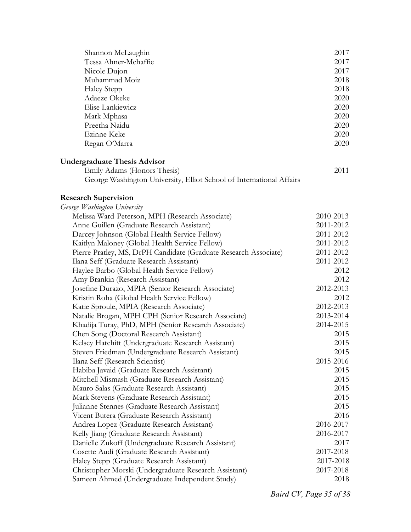| Shannon McLaughin                                                    | 2017      |
|----------------------------------------------------------------------|-----------|
| Tessa Ahner-Mchaffie                                                 | 2017      |
| Nicole Dujon                                                         | 2017      |
| Muhammad Moiz                                                        | 2018      |
| <b>Haley Stepp</b>                                                   | 2018      |
| Adaeze Okeke                                                         | 2020      |
| Elise Lankiewicz                                                     | 2020      |
| Mark Mphasa                                                          | 2020      |
| Preetha Naidu                                                        | 2020      |
| Ezinne Keke                                                          | 2020      |
| Regan O'Marra                                                        | 2020      |
| <b>Undergraduate Thesis Advisor</b>                                  |           |
| Emily Adams (Honors Thesis)                                          | 2011      |
| George Washington University, Elliot School of International Affairs |           |
| <b>Research Supervision</b>                                          |           |
| George Washington University                                         |           |
| Melissa Ward-Peterson, MPH (Research Associate)                      | 2010-2013 |
| Anne Guillen (Graduate Research Assistant)                           | 2011-2012 |
| Darcey Johnson (Global Health Service Fellow)                        | 2011-2012 |
| Kaitlyn Maloney (Global Health Service Fellow)                       | 2011-2012 |
| Pierre Pratley, MS, DrPH Candidate (Graduate Research Associate)     | 2011-2012 |
| Ilana Seff (Graduate Research Assistant)                             | 2011-2012 |
| Haylee Barbo (Global Health Service Fellow)                          | 2012      |
| Amy Brankin (Research Assistant)                                     | 2012      |
| Josefine Durazo, MPIA (Senior Research Associate)                    | 2012-2013 |
| Kristin Roha (Global Health Service Fellow)                          | 2012      |
| Katie Sproule, MPIA (Research Associate)                             | 2012-2013 |
| Natalie Brogan, MPH CPH (Senior Research Associate)                  | 2013-2014 |
| Khadija Turay, PhD, MPH (Senior Research Associate)                  | 2014-2015 |
| Chen Song (Doctoral Research Assistant)                              | 2015      |
| Kelsey Hatchitt (Undergraduate Research Assistant)                   | 2015      |
| Steven Friedman (Undergraduate Research Assistant)                   | 2015      |
| Ilana Seff (Research Scientist)                                      | 2015-2016 |
| Habiba Javaid (Graduate Research Assistant)                          | 2015      |
| Mitchell Mismash (Graduate Research Assistant)                       | 2015      |
| Mauro Salas (Graduate Research Assistant)                            | 2015      |
| Mark Stevens (Graduate Research Assistant)                           | 2015      |
| Julianne Stennes (Graduate Research Assistant)                       | 2015      |
| Vicent Butera (Graduate Research Assistant)                          | 2016      |
| Andrea Lopez (Graduate Research Assistant)                           | 2016-2017 |
| Kelly Jiang (Graduate Research Assistant)                            | 2016-2017 |
| Danielle Zukoff (Undergraduate Research Assistant)                   | 2017      |
| Cosette Audi (Graduate Research Assistant)                           | 2017-2018 |
| Haley Stepp (Graduate Research Assistant)                            | 2017-2018 |
| Christopher Morski (Undergraduate Research Assistant)                | 2017-2018 |
| Sameen Ahmed (Undergraduate Independent Study)                       | 2018      |

*Baird CV, Page 35 of 38*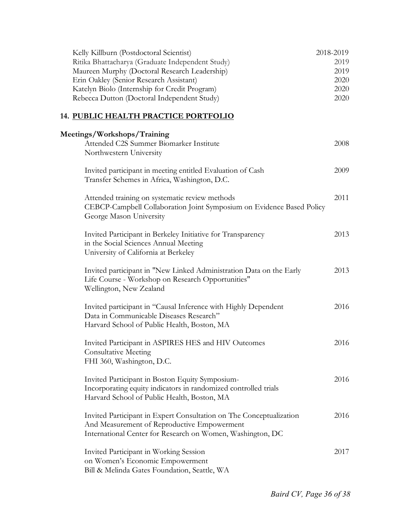| Kelly Killburn (Postdoctoral Scientist)                                                                    | 2018-2019 |
|------------------------------------------------------------------------------------------------------------|-----------|
| Ritika Bhattacharya (Graduate Independent Study)                                                           | 2019      |
| Maureen Murphy (Doctoral Research Leadership)                                                              | 2019      |
| Erin Oakley (Senior Research Assistant)                                                                    | 2020      |
| Katelyn Biolo (Internship for Credit Program)                                                              | 2020      |
| Rebecca Dutton (Doctoral Independent Study)                                                                | 2020      |
| 14. PUBLIC HEALTH PRACTICE PORTFOLIO                                                                       |           |
| Meetings/Workshops/Training                                                                                |           |
| Attended C2S Summer Biomarker Institute<br>Northwestern University                                         | 2008      |
|                                                                                                            |           |
| Invited participant in meeting entitled Evaluation of Cash<br>Transfer Schemes in Africa, Washington, D.C. | 2009      |
| Attended training on systematic review methods                                                             | 2011      |
| CEBCP-Campbell Collaboration Joint Symposium on Evidence Based Policy                                      |           |
| George Mason University                                                                                    |           |
| Invited Participant in Berkeley Initiative for Transparency                                                | 2013      |
| in the Social Sciences Annual Meeting                                                                      |           |
| University of California at Berkeley                                                                       |           |
| Invited participant in "New Linked Administration Data on the Early                                        | 2013      |
| Life Course - Workshop on Research Opportunities"                                                          |           |
| Wellington, New Zealand                                                                                    |           |
| Invited participant in "Causal Inference with Highly Dependent                                             | 2016      |
| Data in Communicable Diseases Research"                                                                    |           |
| Harvard School of Public Health, Boston, MA                                                                |           |
| Invited Participant in ASPIRES HES and HIV Outcomes                                                        | 2016      |
| <b>Consultative Meeting</b>                                                                                |           |
| FHI 360, Washington, D.C.                                                                                  |           |
| Invited Participant in Boston Equity Symposium-                                                            | 2016      |
| Incorporating equity indicators in randomized controlled trials                                            |           |
| Harvard School of Public Health, Boston, MA                                                                |           |
| Invited Participant in Expert Consultation on The Conceptualization                                        | 2016      |
| And Measurement of Reproductive Empowerment                                                                |           |
| International Center for Research on Women, Washington, DC                                                 |           |
| Invited Participant in Working Session                                                                     | 2017      |
| on Women's Economic Empowerment                                                                            |           |
| Bill & Melinda Gates Foundation, Seattle, WA                                                               |           |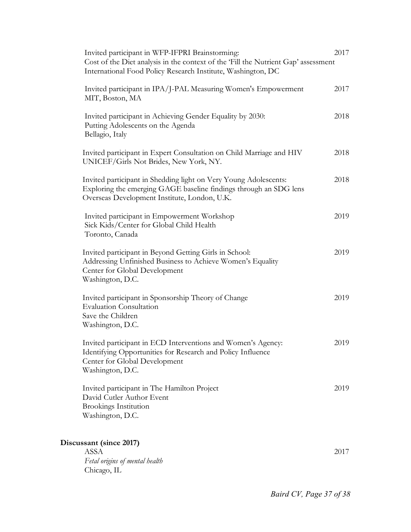| Invited participant in WFP-IFPRI Brainstorming:<br>Cost of the Diet analysis in the context of the 'Fill the Nutrient Gap' assessment<br>International Food Policy Research Institute, Washington, DC | 2017 |
|-------------------------------------------------------------------------------------------------------------------------------------------------------------------------------------------------------|------|
| Invited participant in IPA/J-PAL Measuring Women's Empowerment<br>MIT, Boston, MA                                                                                                                     | 2017 |
| Invited participant in Achieving Gender Equality by 2030:<br>Putting Adolescents on the Agenda<br>Bellagio, Italy                                                                                     | 2018 |
| Invited participant in Expert Consultation on Child Marriage and HIV<br>UNICEF/Girls Not Brides, New York, NY.                                                                                        | 2018 |
| Invited participant in Shedding light on Very Young Adolescents:<br>Exploring the emerging GAGE baseline findings through an SDG lens<br>Overseas Development Institute, London, U.K.                 | 2018 |
| Invited participant in Empowerment Workshop<br>Sick Kids/Center for Global Child Health<br>Toronto, Canada                                                                                            | 2019 |
| Invited participant in Beyond Getting Girls in School:<br>Addressing Unfinished Business to Achieve Women's Equality<br>Center for Global Development<br>Washington, D.C.                             | 2019 |
| Invited participant in Sponsorship Theory of Change<br><b>Evaluation Consultation</b><br>Save the Children<br>Washington, D.C.                                                                        | 2019 |
| Invited participant in ECD Interventions and Women's Agency:<br>Identifying Opportunities for Research and Policy Influence<br>Center for Global Development<br>Washington, D.C.                      | 2019 |
| Invited participant in The Hamilton Project<br>David Cutler Author Event<br><b>Brookings Institution</b><br>Washington, D.C.                                                                          | 2019 |
| Discussant (since 2017)<br><b>ASSA</b><br>Fetal origins of mental health                                                                                                                              | 2017 |

Chicago, IL